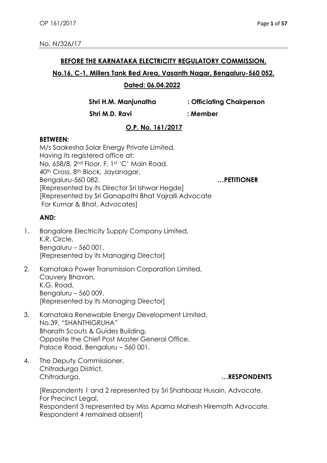#### **BEFORE THE KARNATAKA ELECTRICITY REGULATORY COMMISSION,**

#### **No.16, C-1, Millers Tank Bed Area, Vasanth Nagar, Bengaluru-560 052.**

## **Dated: 06.04.2022**

**Shri H.M. Manjunatha : Officiating Chairperson**

 **Shri M.D. Ravi : Member**

# **O.P. No. 161/2017**

#### **BETWEEN:**

M/s Saakesha Solar Energy Private Limited, Having its registered office at: No. 658/8, 2<sup>nd</sup> Floor, F, 1st 'C' Main Road, 40th Cross, 8th Block, Jayanagar, Bengaluru-560 082. **…PETITIONER** [Represented by its Director Sri Ishwar Hegde] [Represented by Sri Ganapathi Bhat Vajralli Advocate For Kumar & Bhat, Advocates]

## **AND:**

- 1. Bangalore Electricity Supply Company Limited, K.R. Circle, Bengaluru – 560 001. [Represented by its Managing Director]
- 2. Karnataka Power Transmission Corporation Limited, Cauvery Bhavan, K.G. Road, Bengaluru – 560 009. [Represented by its Managing Director]
- 3. Karnataka Renewable Energy Development Limited, No.39, "SHANTHIGRUHA" Bharath Scouts & Guides Building, Opposite the Chief Post Master General Office, Palace Road, Bengaluru – 560 001.
- 4. The Deputy Commissioner, Chitradurga District, Chitradurga. **…RESPONDENTS**

[Respondents 1 and 2 represented by Sri Shahbaaz Husain, Advocate, For Precinct Legal, Respondent 3 represented by Miss Aparna Mahesh Hiremath Advocate, Respondent 4 remained absent]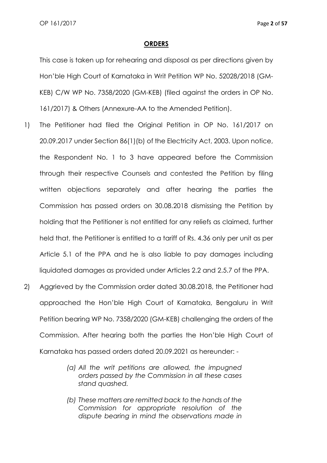#### **ORDERS**

This case is taken up for rehearing and disposal as per directions given by Hon'ble High Court of Karnataka in Writ Petition WP No. 52028/2018 (GM-KEB) C/W WP No. 7358/2020 (GM-KEB) (filed against the orders in OP No. 161/2017) & Others (Annexure-AA to the Amended Petition).

- 1) The Petitioner had filed the Original Petition in OP No. 161/2017 on 20.09.2017 under Section 86(1)(b) of the Electricity Act, 2003. Upon notice, the Respondent No. 1 to 3 have appeared before the Commission through their respective Counsels and contested the Petition by filing written objections separately and after hearing the parties the Commission has passed orders on 30.08.2018 dismissing the Petition by holding that the Petitioner is not entitled for any reliefs as claimed, further held that, the Petitioner is entitled to a tariff of Rs. 4.36 only per unit as per Article 5.1 of the PPA and he is also liable to pay damages including liquidated damages as provided under Articles 2.2 and 2.5.7 of the PPA.
- 2) Aggrieved by the Commission order dated 30.08.2018, the Petitioner had approached the Hon'ble High Court of Karnataka, Bengaluru in Writ Petition bearing WP No. 7358/2020 (GM-KEB) challenging the orders of the Commission. After hearing both the parties the Hon'ble High Court of Karnataka has passed orders dated 20.09.2021 as hereunder: -
	- *(a) All the writ petitions are allowed, the impugned orders passed by the Commission in all these cases stand quashed.*
	- *(b) These matters are remitted back to the hands of the Commission for appropriate resolution of the dispute bearing in mind the observations made in*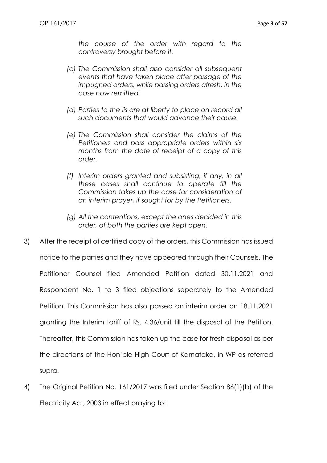*the course of the order with regard to the controversy brought before it.*

- *(c) The Commission shall also consider all subsequent events that have taken place after passage of the impugned orders, while passing orders afresh, in the case now remitted.*
- *(d) Parties to the lis are at liberty to place on record all such documents that would advance their cause.*
- *(e) The Commission shall consider the claims of the Petitioners and pass appropriate orders within six months from the date of receipt of a copy of this order.*
- *(f) Interim orders granted and subsisting, if any, in all these cases shall continue to operate till the Commission takes up the case for consideration of an interim prayer, if sought for by the Petitioners.*
- *(g) All the contentions, except the ones decided in this order, of both the parties are kept open.*
- 3) After the receipt of certified copy of the orders, this Commission has issued notice to the parties and they have appeared through their Counsels. The Petitioner Counsel filed Amended Petition dated 30.11.2021 and Respondent No. 1 to 3 filed objections separately to the Amended Petition. This Commission has also passed an interim order on 18.11.2021 granting the Interim tariff of Rs. 4.36/unit till the disposal of the Petition. Thereafter, this Commission has taken up the case for fresh disposal as per the directions of the Hon'ble High Court of Karnataka, in WP as referred supra.
- 4) The Original Petition No. 161/2017 was filed under Section 86(1)(b) of the Electricity Act, 2003 in effect praying to: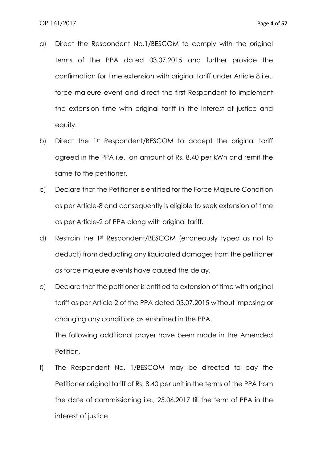- a) Direct the Respondent No.1/BESCOM to comply with the original terms of the PPA dated 03.07.2015 and further provide the confirmation for time extension with original tariff under Article 8 i.e., force majeure event and direct the first Respondent to implement the extension time with original tariff in the interest of justice and equity.
- b) Direct the 1st Respondent/BESCOM to accept the original tariff agreed in the PPA i.e., an amount of Rs. 8.40 per kWh and remit the same to the petitioner.
- c) Declare that the Petitioner is entitled for the Force Majeure Condition as per Article-8 and consequently is eligible to seek extension of time as per Article-2 of PPA along with original tariff.
- d) Restrain the 1st Respondent/BESCOM (erroneously typed as not to deduct) from deducting any liquidated damages from the petitioner as force majeure events have caused the delay.
- e) Declare that the petitioner is entitled to extension of time with original tariff as per Article 2 of the PPA dated 03.07.2015 without imposing or changing any conditions as enshrined in the PPA.

The following additional prayer have been made in the Amended Petition.

f) The Respondent No. 1/BESCOM may be directed to pay the Petitioner original tariff of Rs. 8.40 per unit in the terms of the PPA from the date of commissioning i.e., 25.06.2017 till the term of PPA in the interest of justice.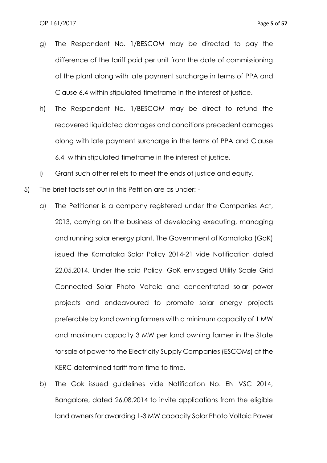- g) The Respondent No. 1/BESCOM may be directed to pay the difference of the tariff paid per unit from the date of commissioning of the plant along with late payment surcharge in terms of PPA and Clause 6.4 within stipulated timeframe in the interest of justice.
- h) The Respondent No. 1/BESCOM may be direct to refund the recovered liquidated damages and conditions precedent damages along with late payment surcharge in the terms of PPA and Clause 6.4, within stipulated timeframe in the interest of justice.
- i) Grant such other reliefs to meet the ends of justice and equity.
- 5) The brief facts set out in this Petition are as under:
	- a) The Petitioner is a company registered under the Companies Act, 2013, carrying on the business of developing executing, managing and running solar energy plant. The Government of Karnataka (GoK) issued the Karnataka Solar Policy 2014-21 vide Notification dated 22.05.2014. Under the said Policy, GoK envisaged Utility Scale Grid Connected Solar Photo Voltaic and concentrated solar power projects and endeavoured to promote solar energy projects preferable by land owning farmers with a minimum capacity of 1 MW and maximum capacity 3 MW per land owning farmer in the State for sale of power to the Electricity Supply Companies (ESCOMs) at the KERC determined tariff from time to time.
	- b) The Gok issued guidelines vide Notification No. EN VSC 2014, Bangalore, dated 26.08.2014 to invite applications from the eligible land owners for awarding 1-3 MW capacity Solar Photo Voltaic Power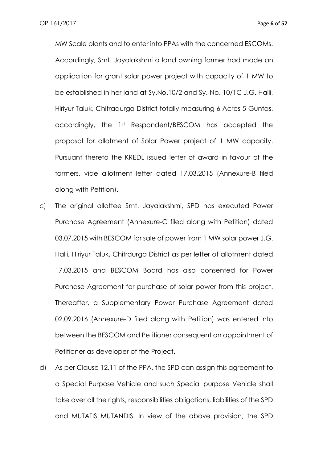MW Scale plants and to enter into PPAs with the concerned ESCOMs. Accordingly, Smt. Jayalakshmi a land owning farmer had made an application for grant solar power project with capacity of 1 MW to be established in her land at Sy.No.10/2 and Sy. No. 10/1C J.G. Halli, Hiriyur Taluk, Chitradurga District totally measuring 6 Acres 5 Guntas, accordingly, the 1st Respondent/BESCOM has accepted the proposal for allotment of Solar Power project of 1 MW capacity. Pursuant thereto the KREDL issued letter of award in favour of the farmers, vide allotment letter dated 17.03.2015 (Annexure-B filed along with Petition).

- c) The original allottee Smt. Jayalakshmi, SPD has executed Power Purchase Agreement (Annexure-C filed along with Petition) dated 03.07.2015 with BESCOM for sale of power from 1 MW solar power J.G. Halli, Hiriyur Taluk, Chitrdurga District as per letter of allotment dated 17.03.2015 and BESCOM Board has also consented for Power Purchase Agreement for purchase of solar power from this project. Thereafter, a Supplementary Power Purchase Agreement dated 02.09.2016 (Annexure-D filed along with Petition) was entered into between the BESCOM and Petitioner consequent on appointment of Petitioner as developer of the Project.
- d) As per Clause 12.11 of the PPA, the SPD can assign this agreement to a Special Purpose Vehicle and such Special purpose Vehicle shall take over all the rights, responsibilities obligations, liabilities of the SPD and MUTATIS MUTANDIS. In view of the above provision, the SPD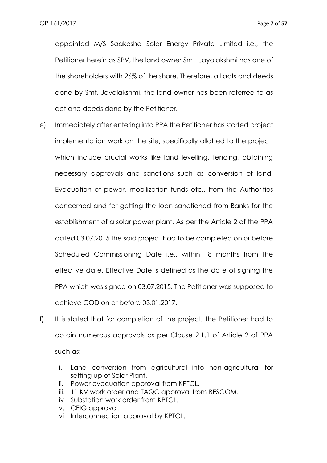appointed M/S Saakesha Solar Energy Private Limited i.e., the Petitioner herein as SPV, the land owner Smt. Jayalakshmi has one of the shareholders with 26% of the share. Therefore, all acts and deeds done by Smt. Jayalakshmi, the land owner has been referred to as act and deeds done by the Petitioner.

- e) Immediately after entering into PPA the Petitioner has started project implementation work on the site, specifically allotted to the project, which include crucial works like land levelling, fencing, obtaining necessary approvals and sanctions such as conversion of land, Evacuation of power, mobilization funds etc., from the Authorities concerned and for getting the loan sanctioned from Banks for the establishment of a solar power plant. As per the Article 2 of the PPA dated 03.07.2015 the said project had to be completed on or before Scheduled Commissioning Date i.e., within 18 months from the effective date. Effective Date is defined as the date of signing the PPA which was signed on 03.07.2015. The Petitioner was supposed to achieve COD on or before 03.01.2017.
- f) It is stated that for completion of the project, the Petitioner had to obtain numerous approvals as per Clause 2.1.1 of Article 2 of PPA such as:
	- i. Land conversion from agricultural into non-agricultural for setting up of Solar Plant.
	- ii. Power evacuation approval from KPTCL.
	- iii. 11 KV work order and TAQC approval from BESCOM.
	- iv. Substation work order from KPTCL.
	- v. CEIG approval.
	- vi. Interconnection approval by KPTCL.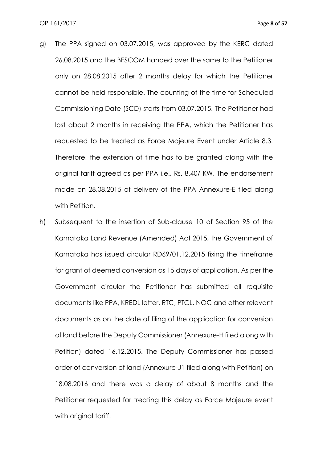- g) The PPA signed on 03.07.2015, was approved by the KERC dated 26.08.2015 and the BESCOM handed over the same to the Petitioner only on 28.08.2015 after 2 months delay for which the Petitioner cannot be held responsible. The counting of the time for Scheduled Commissioning Date (SCD) starts from 03.07.2015. The Petitioner had lost about 2 months in receiving the PPA, which the Petitioner has requested to be treated as Force Majeure Event under Article 8.3. Therefore, the extension of time has to be granted along with the original tariff agreed as per PPA i.e., Rs. 8.40/ KW. The endorsement made on 28.08.2015 of delivery of the PPA Annexure-E filed along with Petition.
- h) Subsequent to the insertion of Sub-clause 10 of Section 95 of the Karnataka Land Revenue (Amended) Act 2015, the Government of Karnataka has issued circular RD69/01.12.2015 fixing the timeframe for grant of deemed conversion as 15 days of application. As per the Government circular the Petitioner has submitted all requisite documents like PPA, KREDL letter, RTC, PTCL, NOC and other relevant documents as on the date of filing of the application for conversion of land before the Deputy Commissioner (Annexure-H filed along with Petition) dated 16.12.2015. The Deputy Commissioner has passed order of conversion of land (Annexure-J1 filed along with Petition) on 18.08.2016 and there was a delay of about 8 months and the Petitioner requested for treating this delay as Force Majeure event with original tariff.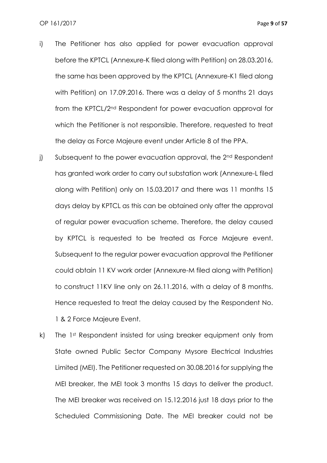- i) The Petitioner has also applied for power evacuation approval before the KPTCL (Annexure-K filed along with Petition) on 28.03.2016, the same has been approved by the KPTCL (Annexure-K1 filed along with Petition) on 17.09.2016. There was a delay of 5 months 21 days from the KPTCL/2nd Respondent for power evacuation approval for which the Petitioner is not responsible. Therefore, requested to treat the delay as Force Majeure event under Article 8 of the PPA.
- j) Subsequent to the power evacuation approval, the 2<sup>nd</sup> Respondent has granted work order to carry out substation work (Annexure-L filed along with Petition) only on 15.03.2017 and there was 11 months 15 days delay by KPTCL as this can be obtained only after the approval of regular power evacuation scheme. Therefore, the delay caused by KPTCL is requested to be treated as Force Majeure event. Subsequent to the regular power evacuation approval the Petitioner could obtain 11 KV work order (Annexure-M filed along with Petition) to construct 11KV line only on 26.11.2016, with a delay of 8 months. Hence requested to treat the delay caused by the Respondent No. 1 & 2 Force Majeure Event.
- k) The 1st Respondent insisted for using breaker equipment only from State owned Public Sector Company Mysore Electrical Industries Limited (MEI). The Petitioner requested on 30.08.2016 for supplying the MEI breaker, the MEI took 3 months 15 days to deliver the product. The MEI breaker was received on 15.12.2016 just 18 days prior to the Scheduled Commissioning Date. The MEI breaker could not be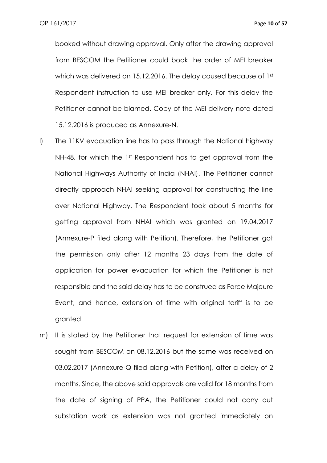booked without drawing approval. Only after the drawing approval from BESCOM the Petitioner could book the order of MEI breaker which was delivered on 15.12.2016. The delay caused because of 1st Respondent instruction to use MEI breaker only. For this delay the Petitioner cannot be blamed. Copy of the MEI delivery note dated 15.12.2016 is produced as Annexure-N.

- l) The 11KV evacuation line has to pass through the National highway NH-48, for which the 1st Respondent has to get approval from the National Highways Authority of India (NHAI). The Petitioner cannot directly approach NHAI seeking approval for constructing the line over National Highway. The Respondent took about 5 months for getting approval from NHAI which was granted on 19.04.2017 (Annexure-P filed along with Petition). Therefore, the Petitioner got the permission only after 12 months 23 days from the date of application for power evacuation for which the Petitioner is not responsible and the said delay has to be construed as Force Majeure Event, and hence, extension of time with original tariff is to be granted.
- m) It is stated by the Petitioner that request for extension of time was sought from BESCOM on 08.12.2016 but the same was received on 03.02.2017 (Annexure-Q filed along with Petition), after a delay of 2 months. Since, the above said approvals are valid for 18 months from the date of signing of PPA, the Petitioner could not carry out substation work as extension was not granted immediately on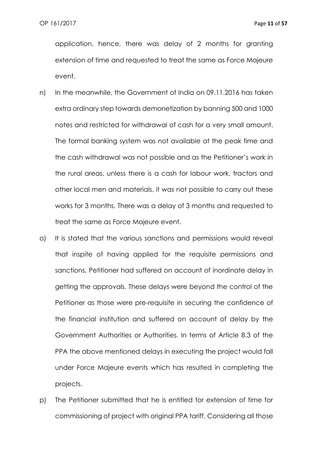application, hence, there was delay of 2 months for granting extension of time and requested to treat the same as Force Majeure event.

- n) In the meanwhile, the Government of India on 09.11.2016 has taken extra ordinary step towards demonetization by banning 500 and 1000 notes and restricted for withdrawal of cash for a very small amount. The formal banking system was not available at the peak time and the cash withdrawal was not possible and as the Petitioner's work in the rural areas, unless there is a cash for labour work, tractors and other local men and materials, it was not possible to carry out these works for 3 months. There was a delay of 3 months and requested to treat the same as Force Majeure event.
- o) It is stated that the various sanctions and permissions would reveal that inspite of having applied for the requisite permissions and sanctions, Petitioner had suffered on account of inordinate delay in getting the approvals. These delays were beyond the control of the Petitioner as those were pre-requisite in securing the confidence of the financial institution and suffered on account of delay by the Government Authorities or Authorities. In terms of Article 8.3 of the PPA the above mentioned delays in executing the project would fall under Force Majeure events which has resulted in completing the projects.
- p) The Petitioner submitted that he is entitled for extension of time for commissioning of project with original PPA tariff. Considering all those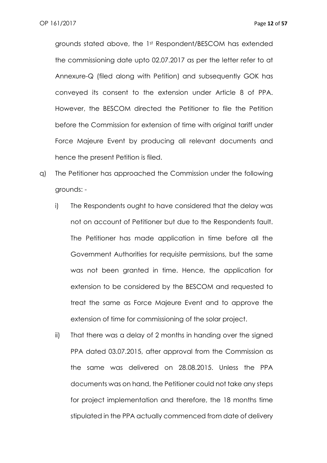grounds stated above, the 1st Respondent/BESCOM has extended the commissioning date upto 02.07.2017 as per the letter refer to at Annexure-Q (filed along with Petition) and subsequently GOK has conveyed its consent to the extension under Article 8 of PPA. However, the BESCOM directed the Petitioner to file the Petition before the Commission for extension of time with original tariff under Force Majeure Event by producing all relevant documents and hence the present Petition is filed.

- q) The Petitioner has approached the Commission under the following grounds:
	- i) The Respondents ought to have considered that the delay was not on account of Petitioner but due to the Respondents fault. The Petitioner has made application in time before all the Government Authorities for requisite permissions, but the same was not been granted in time. Hence, the application for extension to be considered by the BESCOM and requested to treat the same as Force Majeure Event and to approve the extension of time for commissioning of the solar project.
	- ii) That there was a delay of 2 months in handing over the signed PPA dated 03.07.2015, after approval from the Commission as the same was delivered on 28.08.2015. Unless the PPA documents was on hand, the Petitioner could not take any steps for project implementation and therefore, the 18 months time stipulated in the PPA actually commenced from date of delivery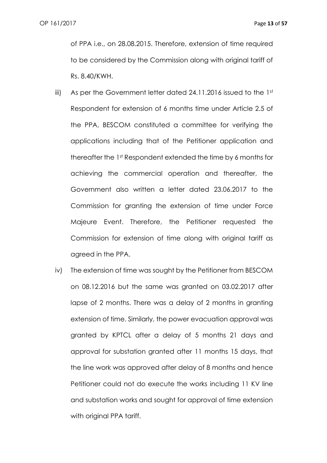of PPA i.e., on 28.08.2015. Therefore, extension of time required to be considered by the Commission along with original tariff of Rs. 8.40/KWH.

- iii) As per the Government letter dated 24.11.2016 issued to the 1st Respondent for extension of 6 months time under Article 2.5 of the PPA, BESCOM constituted a committee for verifying the applications including that of the Petitioner application and thereafter the 1st Respondent extended the time by 6 months for achieving the commercial operation and thereafter, the Government also written a letter dated 23.06.2017 to the Commission for granting the extension of time under Force Majeure Event. Therefore, the Petitioner requested the Commission for extension of time along with original tariff as agreed in the PPA.
- iv) The extension of time was sought by the Petitioner from BESCOM on 08.12.2016 but the same was granted on 03.02.2017 after lapse of 2 months. There was a delay of 2 months in granting extension of time. Similarly, the power evacuation approval was granted by KPTCL after a delay of 5 months 21 days and approval for substation granted after 11 months 15 days, that the line work was approved after delay of 8 months and hence Petitioner could not do execute the works including 11 KV line and substation works and sought for approval of time extension with original PPA tariff.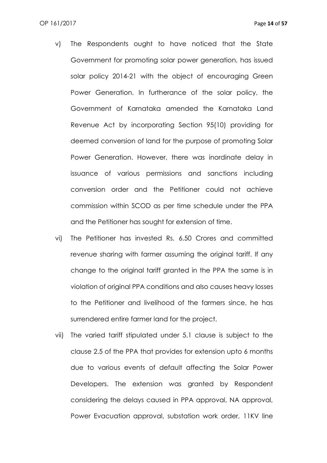- v) The Respondents ought to have noticed that the State Government for promoting solar power generation, has issued solar policy 2014-21 with the object of encouraging Green Power Generation. In furtherance of the solar policy, the Government of Karnataka amended the Karnataka Land Revenue Act by incorporating Section 95(10) providing for deemed conversion of land for the purpose of promoting Solar Power Generation. However, there was inordinate delay in issuance of various permissions and sanctions including conversion order and the Petitioner could not achieve commission within SCOD as per time schedule under the PPA and the Petitioner has sought for extension of time.
- vi) The Petitioner has invested Rs. 6.50 Crores and committed revenue sharing with farmer assuming the original tariff. If any change to the original tariff granted in the PPA the same is in violation of original PPA conditions and also causes heavy losses to the Petitioner and livelihood of the farmers since, he has surrendered entire farmer land for the project.
- vii) The varied tariff stipulated under 5.1 clause is subject to the clause 2.5 of the PPA that provides for extension upto 6 months due to various events of default affecting the Solar Power Developers. The extension was granted by Respondent considering the delays caused in PPA approval, NA approval, Power Evacuation approval, substation work order, 11KV line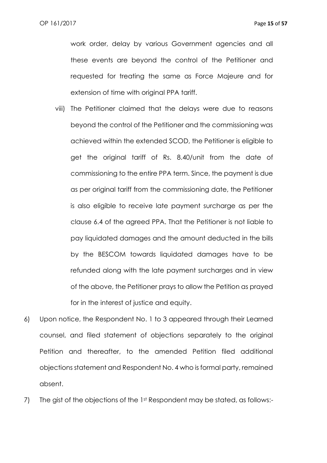work order, delay by various Government agencies and all these events are beyond the control of the Petitioner and requested for treating the same as Force Majeure and for extension of time with original PPA tariff.

- viii) The Petitioner claimed that the delays were due to reasons beyond the control of the Petitioner and the commissioning was achieved within the extended SCOD, the Petitioner is eligible to get the original tariff of Rs. 8.40/unit from the date of commissioning to the entire PPA term. Since, the payment is due as per original tariff from the commissioning date, the Petitioner is also eligible to receive late payment surcharge as per the clause 6.4 of the agreed PPA. That the Petitioner is not liable to pay liquidated damages and the amount deducted in the bills by the BESCOM towards liquidated damages have to be refunded along with the late payment surcharges and in view of the above, the Petitioner prays to allow the Petition as prayed for in the interest of justice and equity.
- 6) Upon notice, the Respondent No. 1 to 3 appeared through their Learned counsel, and filed statement of objections separately to the original Petition and thereafter, to the amended Petition filed additional objections statement and Respondent No. 4 who is formal party, remained absent.
- 7) The gist of the objections of the 1st Respondent may be stated, as follows:-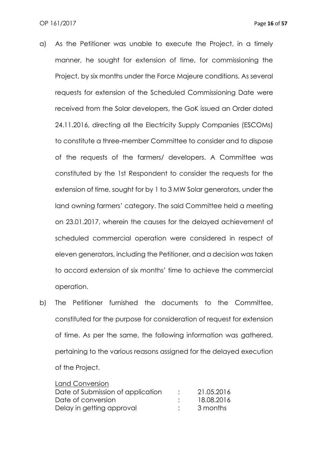- a) As the Petitioner was unable to execute the Project, in a timely manner, he sought for extension of time, for commissioning the Project, by six months under the Force Majeure conditions. As several requests for extension of the Scheduled Commissioning Date were received from the Solar developers, the GoK issued an Order dated 24.11.2016, directing all the Electricity Supply Companies (ESCOMs) to constitute a three-member Committee to consider and to dispose of the requests of the farmers/ developers. A Committee was constituted by the 1st Respondent to consider the requests for the extension of time, sought for by 1 to 3 MW Solar generators, under the land owning farmers' category. The said Committee held a meeting on 23.01.2017, wherein the causes for the delayed achievement of scheduled commercial operation were considered in respect of eleven generators, including the Petitioner, and a decision was taken to accord extension of six months' time to achieve the commercial operation.
- b) The Petitioner furnished the documents to the Committee, constituted for the purpose for consideration of request for extension of time. As per the same, the following information was gathered, pertaining to the various reasons assigned for the delayed execution of the Project.

| <b>Land Conversion</b>            |            |
|-----------------------------------|------------|
| Date of Submission of application | 21.05.2016 |
| Date of conversion                | 18.08.2016 |
| Delay in getting approval         | 3 months   |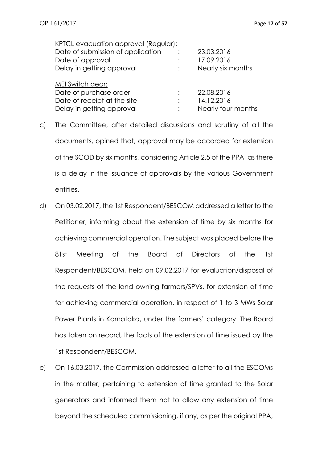| KPTCL evacuation approval (Regular): |            |
|--------------------------------------|------------|
| Date of submission of application    | 23.03.2016 |
| Date of approval                     | 17.09.2016 |

| Delay in getting approval   | Nearly six months  |
|-----------------------------|--------------------|
| MEI Switch gear:            |                    |
| Date of purchase order      | 22.08.2016         |
| Date of receipt at the site | 14.12.2016         |
| Delay in getting approval   | Nearly four months |

- c) The Committee, after detailed discussions and scrutiny of all the documents, opined that, approval may be accorded for extension of the SCOD by six months, considering Article 2.5 of the PPA, as there is a delay in the issuance of approvals by the various Government entities.
- d) On 03.02.2017, the 1st Respondent/BESCOM addressed a letter to the Petitioner, informing about the extension of time by six months for achieving commercial operation. The subject was placed before the 81st Meeting of the Board of Directors of the 1st Respondent/BESCOM, held on 09.02.2017 for evaluation/disposal of the requests of the land owning farmers/SPVs, for extension of time for achieving commercial operation, in respect of 1 to 3 MWs Solar Power Plants in Karnataka, under the farmers' category. The Board has taken on record, the facts of the extension of time issued by the 1st Respondent/BESCOM.
- e) On 16.03.2017, the Commission addressed a letter to all the ESCOMs in the matter, pertaining to extension of time granted to the Solar generators and informed them not to allow any extension of time beyond the scheduled commissioning, if any, as per the original PPA,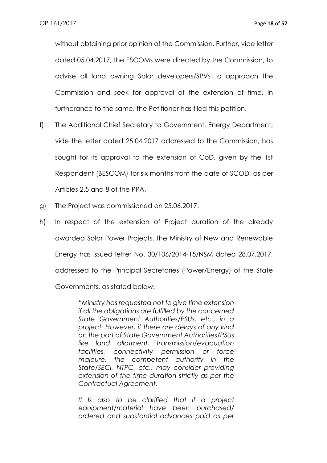without obtaining prior opinion of the Commission. Further, vide letter dated 05.04.2017, the ESCOMs were directed by the Commission, to advise all land owning Solar developers/SPVs to approach the Commission and seek for approval of the extension of time. In furtherance to the same, the Petitioner has filed this petition.

- f) The Additional Chief Secretary to Government, Energy Department, vide the letter dated 25.04.2017 addressed to the Commission, has sought for its approval to the extension of CoD, given by the 1st Respondent (BESCOM) for six months from the date of SCOD, as per Articles 2.5 and 8 of the PPA.
- g) The Project was commissioned on 25.06.2017.
- h) In respect of the extension of Project duration of the already awarded Solar Power Projects, the Ministry of New and Renewable Energy has issued letter No. 30/106/2014-15/NSM dated 28.07.2017, addressed to the Principal Secretaries (Power/Energy) of the State Governments, as stated below:

*"Ministry has requested not to give time extension if all the obligations are fulfilled by the concerned State Government Authorities/PSUs, etc., in a project. However, if there are delays of any kind on the part of State Government Authorities/PSUs like land allotment, transmission/evacuation facilities, connectivity permission or force majeure, the competent authority in the State/SECI, NTPC, etc., may consider providing extension of the time duration strictly as per the Contractual Agreement.*

*It Is also to be clarified that if a project equipment/material have been purchased/ ordered and substantial advances paid as per*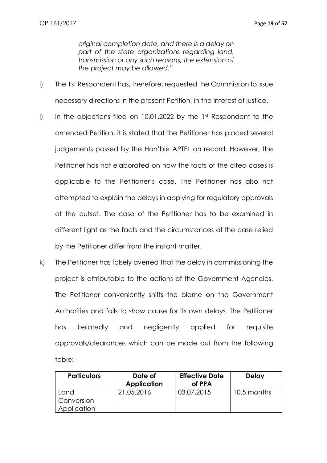*original completion date, and there is a delay on part of the state organizations regarding land, transmission or any such reasons, the extension of the project may be allowed."*

- i) The 1st Respondent has, therefore, requested the Commission to issue necessary directions in the present Petition, in the interest of justice.
- j) In the objections filed on 10.01.2022 by the  $1<sup>st</sup>$  Respondent to the amended Petition, it is stated that the Petitioner has placed several judgements passed by the Hon'ble APTEL on record. However, the Petitioner has not elaborated on how the facts of the cited cases is applicable to the Petitioner's case. The Petitioner has also not attempted to explain the delays in applying for regulatory approvals at the outset. The case of the Petitioner has to be examined in different light as the facts and the circumstances of the case relied by the Petitioner differ from the instant matter.
- k) The Petitioner has falsely averred that the delay in commissioning the project is attributable to the actions of the Government Agencies. The Petitioner conveniently shifts the blame on the Government Authorities and fails to show cause for its own delays. The Petitioner has belatedly and negligently applied for requisite approvals/clearances which can be made out from the following table: -

| <b>Particulars</b> | Date of            | <b>Effective Date</b> | <b>Delay</b> |
|--------------------|--------------------|-----------------------|--------------|
|                    | <b>Application</b> | of PPA                |              |
| Land               | 21.05.2016         | 03.07.2015            | 10.5 months  |
| Conversion         |                    |                       |              |
| Application        |                    |                       |              |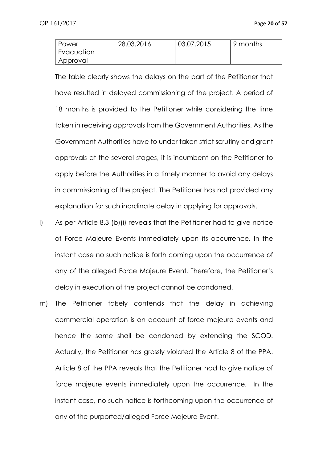| l Power    | 28.03.2016 | 03.07.2015 | 9 months |
|------------|------------|------------|----------|
| Evacuation |            |            |          |
| Approval   |            |            |          |

The table clearly shows the delays on the part of the Petitioner that have resulted in delayed commissioning of the project. A period of 18 months is provided to the Petitioner while considering the time taken in receiving approvals from the Government Authorities. As the Government Authorities have to under taken strict scrutiny and grant approvals at the several stages, it is incumbent on the Petitioner to apply before the Authorities in a timely manner to avoid any delays in commissioning of the project. The Petitioner has not provided any explanation for such inordinate delay in applying for approvals.

- l) As per Article 8.3 (b)(i) reveals that the Petitioner had to give notice of Force Majeure Events immediately upon its occurrence. In the instant case no such notice is forth coming upon the occurrence of any of the alleged Force Majeure Event. Therefore, the Petitioner's delay in execution of the project cannot be condoned.
- m) The Petitioner falsely contends that the delay in achieving commercial operation is on account of force majeure events and hence the same shall be condoned by extending the SCOD. Actually, the Petitioner has grossly violated the Article 8 of the PPA. Article 8 of the PPA reveals that the Petitioner had to give notice of force majeure events immediately upon the occurrence. In the instant case, no such notice is forthcoming upon the occurrence of any of the purported/alleged Force Majeure Event.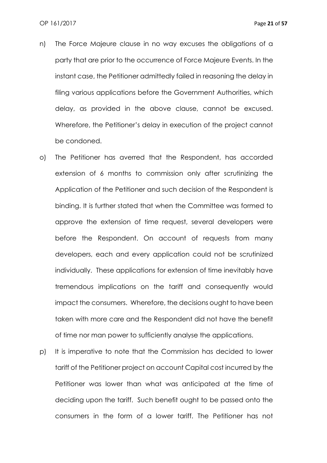- n) The Force Majeure clause in no way excuses the obligations of a party that are prior to the occurrence of Force Majeure Events. In the instant case, the Petitioner admittedly failed in reasoning the delay in filing various applications before the Government Authorities, which delay, as provided in the above clause, cannot be excused. Wherefore, the Petitioner's delay in execution of the project cannot be condoned.
- o) The Petitioner has averred that the Respondent, has accorded extension of 6 months to commission only after scrutinizing the Application of the Petitioner and such decision of the Respondent is binding. It is further stated that when the Committee was formed to approve the extension of time request, several developers were before the Respondent. On account of requests from many developers, each and every application could not be scrutinized individually. These applications for extension of time inevitably have tremendous implications on the tariff and consequently would impact the consumers. Wherefore, the decisions ought to have been taken with more care and the Respondent did not have the benefit of time nor man power to sufficiently analyse the applications.
- p) It is imperative to note that the Commission has decided to lower tariff of the Petitioner project on account Capital cost incurred by the Petitioner was lower than what was anticipated at the time of deciding upon the tariff. Such benefit ought to be passed onto the consumers in the form of a lower tariff. The Petitioner has not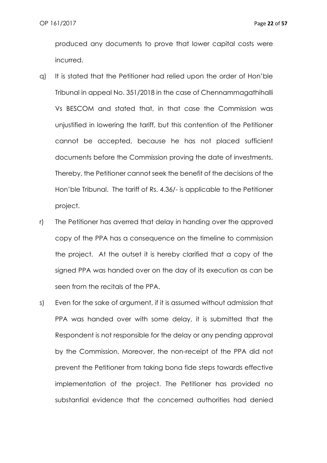produced any documents to prove that lower capital costs were incurred.

- q) It is stated that the Petitioner had relied upon the order of Hon'ble Tribunal in appeal No. 351/2018 in the case of Chennammagathihalli Vs BESCOM and stated that, in that case the Commission was unjustified in lowering the tariff, but this contention of the Petitioner cannot be accepted, because he has not placed sufficient documents before the Commission proving the date of investments. Thereby, the Petitioner cannot seek the benefit of the decisions of the Hon'ble Tribunal. The tariff of Rs. 4.36/- is applicable to the Petitioner project.
- r) The Petitioner has averred that delay in handing over the approved copy of the PPA has a consequence on the timeline to commission the project. At the outset it is hereby clarified that a copy of the signed PPA was handed over on the day of its execution as can be seen from the recitals of the PPA.
- s) Even for the sake of argument, if it is assumed without admission that PPA was handed over with some delay, it is submitted that the Respondent is not responsible for the delay or any pending approval by the Commission. Moreover, the non-receipt of the PPA did not prevent the Petitioner from taking bona fide steps towards effective implementation of the project. The Petitioner has provided no substantial evidence that the concerned authorities had denied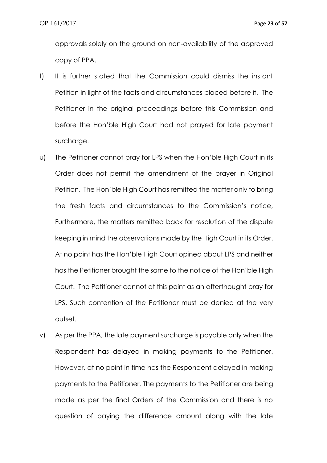approvals solely on the ground on non-availability of the approved copy of PPA.

- t) It is further stated that the Commission could dismiss the instant Petition in light of the facts and circumstances placed before it. The Petitioner in the original proceedings before this Commission and before the Hon'ble High Court had not prayed for late payment surcharge.
- u) The Petitioner cannot pray for LPS when the Hon'ble High Court in its Order does not permit the amendment of the prayer in Original Petition. The Hon'ble High Court has remitted the matter only to bring the fresh facts and circumstances to the Commission's notice, Furthermore, the matters remitted back for resolution of the dispute keeping in mind the observations made by the High Court in its Order. At no point has the Hon'ble High Court opined about LPS and neither has the Petitioner brought the same to the notice of the Hon'ble High Court. The Petitioner cannot at this point as an afterthought pray for LPS. Such contention of the Petitioner must be denied at the very outset.
- v) As per the PPA, the late payment surcharge is payable only when the Respondent has delayed in making payments to the Petitioner. However, at no point in time has the Respondent delayed in making payments to the Petitioner. The payments to the Petitioner are being made as per the final Orders of the Commission and there is no question of paying the difference amount along with the late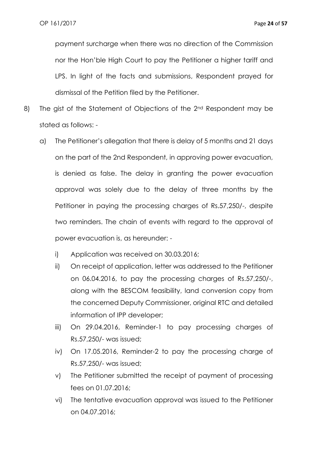payment surcharge when there was no direction of the Commission nor the Hon'ble High Court to pay the Petitioner a higher tariff and LPS. In light of the facts and submissions, Respondent prayed for dismissal of the Petition filed by the Petitioner.

- 8) The gist of the Statement of Objections of the 2<sup>nd</sup> Respondent may be stated as follows:
	- a) The Petitioner's allegation that there is delay of 5 months and 21 days on the part of the 2nd Respondent, in approving power evacuation, is denied as false. The delay in granting the power evacuation approval was solely due to the delay of three months by the Petitioner in paying the processing charges of Rs.57,250/-, despite two reminders. The chain of events with regard to the approval of power evacuation is, as hereunder:
		- i) Application was received on 30.03.2016;
		- ii) On receipt of application, letter was addressed to the Petitioner on 06.04.2016, to pay the processing charges of Rs.57,250/-, along with the BESCOM feasibility, land conversion copy from the concerned Deputy Commissioner, original RTC and detailed information of IPP developer;
		- iii) On 29.04.2016, Reminder-1 to pay processing charges of Rs.57,250/- was issued;
		- iv) On 17.05.2016, Reminder-2 to pay the processing charge of Rs.57,250/- was issued;
		- v) The Petitioner submitted the receipt of payment of processing fees on 01.07.2016;
		- vi) The tentative evacuation approval was issued to the Petitioner on 04.07.2016;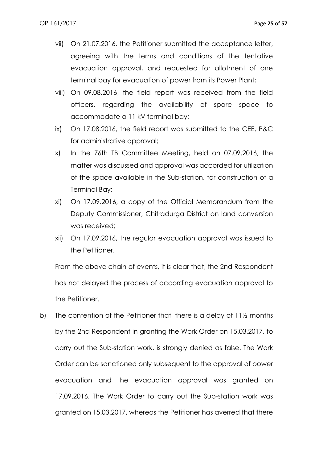- vii) On 21.07.2016, the Petitioner submitted the acceptance letter, agreeing with the terms and conditions of the tentative evacuation approval, and requested for allotment of one terminal bay for evacuation of power from its Power Plant;
- viii) On 09.08.2016, the field report was received from the field officers, regarding the availability of spare space to accommodate a 11 kV terminal bay;
- ix) On 17.08.2016, the field report was submitted to the CEE, P&C for administrative approval;
- x) In the 76th TB Committee Meeting, held on 07.09.2016, the matter was discussed and approval was accorded for utilization of the space available in the Sub-station, for construction of a Terminal Bay;
- xi) On 17.09.2016, a copy of the Official Memorandum from the Deputy Commissioner, Chitradurga District on land conversion was received;
- xii) On 17.09.2016, the regular evacuation approval was issued to the Petitioner.

From the above chain of events, it is clear that, the 2nd Respondent has not delayed the process of according evacuation approval to the Petitioner.

b) The contention of the Petitioner that, there is a delay of 11½ months by the 2nd Respondent in granting the Work Order on 15.03.2017, to carry out the Sub-station work, is strongly denied as false. The Work Order can be sanctioned only subsequent to the approval of power evacuation and the evacuation approval was granted on 17.09.2016. The Work Order to carry out the Sub-station work was granted on 15.03.2017, whereas the Petitioner has averred that there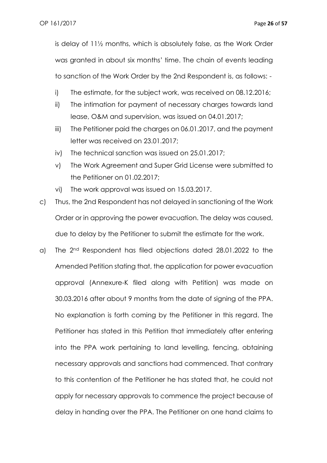is delay of 11½ months, which is absolutely false, as the Work Order was granted in about six months' time. The chain of events leading to sanction of the Work Order by the 2nd Respondent is, as follows: -

- i) The estimate, for the subject work, was received on 08.12.2016;
- ii) The intimation for payment of necessary charges towards land lease, O&M and supervision, was issued on 04.01.2017;
- iii) The Petitioner paid the charges on 06.01.2017, and the payment letter was received on 23.01.2017;
- iv) The technical sanction was issued on 25.01.2017;
- v) The Work Agreement and Super Grid License were submitted to the Petitioner on 01.02.2017;
- vi) The work approval was issued on 15.03.2017.
- c) Thus, the 2nd Respondent has not delayed in sanctioning of the Work Order or in approving the power evacuation. The delay was caused, due to delay by the Petitioner to submit the estimate for the work.
- a) The 2nd Respondent has filed objections dated 28.01.2022 to the Amended Petition stating that, the application for power evacuation approval (Annexure-K filed along with Petition) was made on 30.03.2016 after about 9 months from the date of signing of the PPA. No explanation is forth coming by the Petitioner in this regard. The Petitioner has stated in this Petition that immediately after entering into the PPA work pertaining to land levelling, fencing, obtaining necessary approvals and sanctions had commenced. That contrary to this contention of the Petitioner he has stated that, he could not apply for necessary approvals to commence the project because of delay in handing over the PPA. The Petitioner on one hand claims to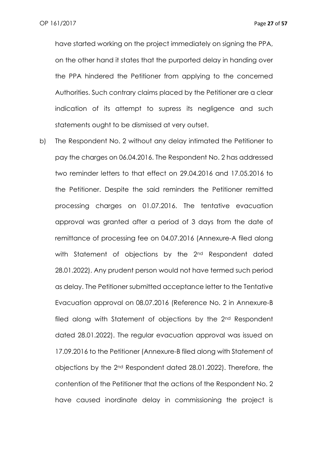have started working on the project immediately on signing the PPA, on the other hand it states that the purported delay in handing over the PPA hindered the Petitioner from applying to the concerned Authorities. Such contrary claims placed by the Petitioner are a clear indication of its attempt to supress its negligence and such statements ought to be dismissed at very outset.

b) The Respondent No. 2 without any delay intimated the Petitioner to pay the charges on 06.04.2016. The Respondent No. 2 has addressed two reminder letters to that effect on 29.04.2016 and 17.05.2016 to the Petitioner. Despite the said reminders the Petitioner remitted processing charges on 01.07.2016. The tentative evacuation approval was granted after a period of 3 days from the date of remittance of processing fee on 04.07.2016 (Annexure-A filed along with Statement of objections by the 2<sup>nd</sup> Respondent dated 28.01.2022). Any prudent person would not have termed such period as delay. The Petitioner submitted acceptance letter to the Tentative Evacuation approval on 08.07.2016 (Reference No. 2 in Annexure-B filed along with Statement of objections by the 2<sup>nd</sup> Respondent dated 28.01.2022). The regular evacuation approval was issued on 17.09.2016 to the Petitioner (Annexure-B filed along with Statement of objections by the 2nd Respondent dated 28.01.2022). Therefore, the contention of the Petitioner that the actions of the Respondent No. 2 have caused inordinate delay in commissioning the project is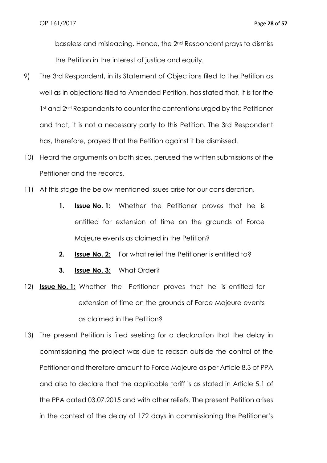baseless and misleading. Hence, the 2nd Respondent prays to dismiss the Petition in the interest of justice and equity.

- 9) The 3rd Respondent, in its Statement of Objections filed to the Petition as well as in objections filed to Amended Petition, has stated that, it is for the 1st and 2<sup>nd</sup> Respondents to counter the contentions urged by the Petitioner and that, it is not a necessary party to this Petition. The 3rd Respondent has, therefore, prayed that the Petition against it be dismissed.
- 10) Heard the arguments on both sides, perused the written submissions of the Petitioner and the records.
- 11) At this stage the below mentioned issues arise for our consideration.
	- **1. Issue No. 1:** Whether the Petitioner proves that he is entitled for extension of time on the grounds of Force Majeure events as claimed in the Petition?
	- **2. Issue No. 2:** For what relief the Petitioner is entitled to?
	- **3. Issue No. 3:** What Order?
- 12) **Issue No. 1:** Whether the Petitioner proves that he is entitled for extension of time on the grounds of Force Majeure events as claimed in the Petition?
- 13) The present Petition is filed seeking for a declaration that the delay in commissioning the project was due to reason outside the control of the Petitioner and therefore amount to Force Majeure as per Article 8.3 of PPA and also to declare that the applicable tariff is as stated in Article 5.1 of the PPA dated 03.07.2015 and with other reliefs. The present Petition arises in the context of the delay of 172 days in commissioning the Petitioner's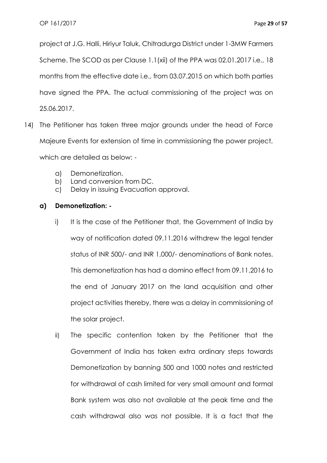project at J.G. Halli, Hiriyur Taluk, Chitradurga District under 1-3MW Farmers Scheme. The SCOD as per Clause 1.1(xii) of the PPA was 02.01.2017 i.e., 18 months from the effective date i.e., from 03.07.2015 on which both parties have signed the PPA. The actual commissioning of the project was on 25.06.2017.

- 14) The Petitioner has taken three major grounds under the head of Force Majeure Events for extension of time in commissioning the power project, which are detailed as below:
	- a) Demonetization.
	- b) Land conversion from DC.
	- c) Delay in issuing Evacuation approval.

# **a) Demonetization: -**

- i) It is the case of the Petitioner that, the Government of India by way of notification dated 09.11.2016 withdrew the legal tender status of INR 500/- and INR 1,000/- denominations of Bank notes. This demonetization has had a domino effect from 09.11.2016 to the end of January 2017 on the land acquisition and other project activities thereby, there was a delay in commissioning of the solar project.
- ii) The specific contention taken by the Petitioner that the Government of India has taken extra ordinary steps towards Demonetization by banning 500 and 1000 notes and restricted for withdrawal of cash limited for very small amount and formal Bank system was also not available at the peak time and the cash withdrawal also was not possible. It is a fact that the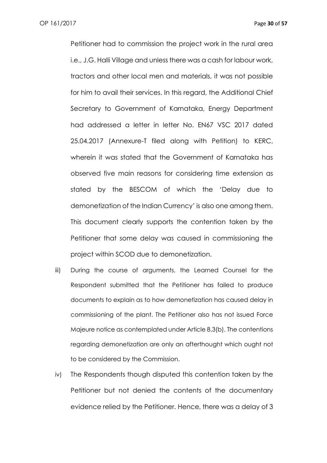Petitioner had to commission the project work in the rural area i.e., J.G. Halli Village and unless there was a cash for labour work, tractors and other local men and materials, it was not possible for him to avail their services. In this regard, the Additional Chief Secretary to Government of Karnataka, Energy Department had addressed a letter in letter No. EN67 VSC 2017 dated 25.04.2017 (Annexure-T filed along with Petition) to KERC, wherein it was stated that the Government of Karnataka has observed five main reasons for considering time extension as stated by the BESCOM of which the 'Delay due to demonetization of the Indian Currency' is also one among them. This document clearly supports the contention taken by the Petitioner that some delay was caused in commissioning the project within SCOD due to demonetization.

- iii) During the course of arguments, the Learned Counsel for the Respondent submitted that the Petitioner has failed to produce documents to explain as to how demonetization has caused delay in commissioning of the plant. The Petitioner also has not issued Force Majeure notice as contemplated under Article 8.3(b). The contentions regarding demonetization are only an afterthought which ought not to be considered by the Commission.
- iv) The Respondents though disputed this contention taken by the Petitioner but not denied the contents of the documentary evidence relied by the Petitioner. Hence, there was a delay of 3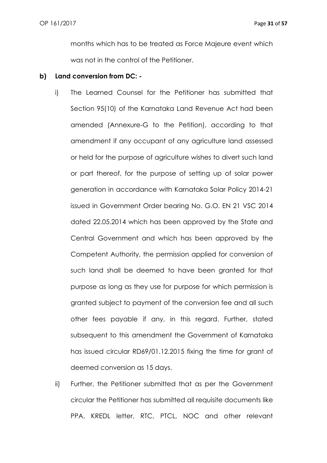months which has to be treated as Force Majeure event which was not in the control of the Petitioner.

## **b) Land conversion from DC: -**

- i) The Learned Counsel for the Petitioner has submitted that Section 95(10) of the Karnataka Land Revenue Act had been amended (Annexure-G to the Petition), according to that amendment if any occupant of any agriculture land assessed or held for the purpose of agriculture wishes to divert such land or part thereof, for the purpose of setting up of solar power generation in accordance with Karnataka Solar Policy 2014-21 issued in Government Order bearing No. G.O. EN 21 VSC 2014 dated 22.05.2014 which has been approved by the State and Central Government and which has been approved by the Competent Authority, the permission applied for conversion of such land shall be deemed to have been granted for that purpose as long as they use for purpose for which permission is granted subject to payment of the conversion fee and all such other fees payable if any, in this regard. Further, stated subsequent to this amendment the Government of Karnataka has issued circular RD69/01.12.2015 fixing the time for grant of deemed conversion as 15 days.
- ii) Further, the Petitioner submitted that as per the Government circular the Petitioner has submitted all requisite documents like PPA, KREDL letter, RTC, PTCL, NOC and other relevant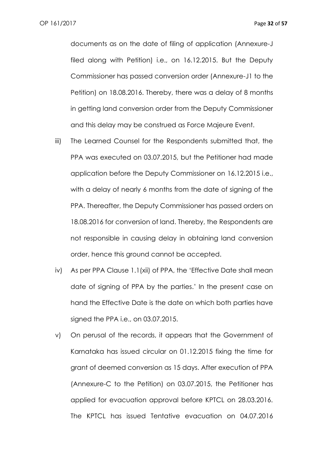documents as on the date of filing of application (Annexure-J filed along with Petition) i.e., on 16.12.2015. But the Deputy Commissioner has passed conversion order (Annexure-J1 to the Petition) on 18.08.2016. Thereby, there was a delay of 8 months in getting land conversion order from the Deputy Commissioner and this delay may be construed as Force Majeure Event.

- iii) The Learned Counsel for the Respondents submitted that, the PPA was executed on 03.07.2015, but the Petitioner had made application before the Deputy Commissioner on 16.12.2015 i.e., with a delay of nearly 6 months from the date of signing of the PPA. Thereafter, the Deputy Commissioner has passed orders on 18.08.2016 for conversion of land. Thereby, the Respondents are not responsible in causing delay in obtaining land conversion order, hence this ground cannot be accepted.
- iv) As per PPA Clause 1.1(xii) of PPA, the 'Effective Date shall mean date of signing of PPA by the parties.' In the present case on hand the Effective Date is the date on which both parties have signed the PPA i.e., on 03.07.2015.
- v) On perusal of the records, it appears that the Government of Karnataka has issued circular on 01.12.2015 fixing the time for grant of deemed conversion as 15 days. After execution of PPA (Annexure-C to the Petition) on 03.07.2015, the Petitioner has applied for evacuation approval before KPTCL on 28.03.2016. The KPTCL has issued Tentative evacuation on 04.07.2016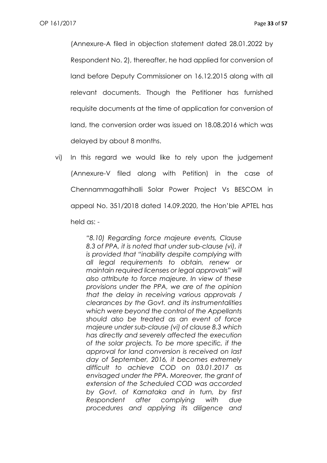(Annexure-A filed in objection statement dated 28.01.2022 by Respondent No. 2), thereafter, he had applied for conversion of land before Deputy Commissioner on 16.12.2015 along with all relevant documents. Though the Petitioner has furnished requisite documents at the time of application for conversion of land, the conversion order was issued on 18.08.2016 which was delayed by about 8 months.

vi) In this regard we would like to rely upon the judgement (Annexure-V filed along with Petition) in the case of Chennammagathihalli Solar Power Project Vs BESCOM in appeal No. 351/2018 dated 14.09.2020, the Hon'ble APTEL has held as: -

> *"8.10) Regarding force majeure events, Clause 8.3 of PPA, it is noted that under sub-clause (vi), it is provided that "inability despite complying with all legal requirements to obtain, renew or maintain required licenses or legal approvals" will also attribute to force majeure. In view of these provisions under the PPA, we are of the opinion that the delay in receiving various approvals / clearances by the Govt. and its instrumentalities which were beyond the control of the Appellants should also be treated as an event of force majeure under sub-clause (vi) of clause 8.3 which has directly and severely affected the execution of the solar projects. To be more specific, if the approval for land conversion is received on last day of September, 2016, it becomes extremely difficult to achieve COD on 03.01.2017 as envisaged under the PPA. Moreover, the grant of extension of the Scheduled COD was accorded by Govt. of Karnataka and in turn, by first Respondent after complying with due procedures and applying its diligence and*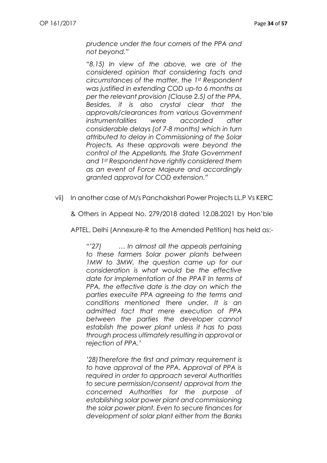*prudence under the four corners of the PPA and not beyond."*

*"8.15) In view of the above, we are of the considered opinion that considering facts and circumstances of the matter, the 1st Respondent was justified in extending COD up-to 6 months as per the relevant provision (Clause 2.5) of the PPA. Besides, it is also crystal clear that the approvals/clearances from various Government instrumentalities were accorded after considerable delays (of 7-8 months) which in turn attributed to delay in Commissioning of the Solar Projects. As these approvals were beyond the control of the Appellants, the State Government and 1st Respondent have rightly considered them as an event of Force Majeure and accordingly granted approval for COD extension."*

vii) In another case of M/s Panchakshari Power Projects LL.P Vs KERC

& Others in Appeal No. 279/2018 dated 12.08.2021 by Hon'ble

APTEL, Delhi (Annexure-R to the Amended Petition) has held as:-

*"'27) … In almost all the appeals pertaining to these farmers Solar power plants between 1MW to 3MW, the question came up for our consideration is what would be the effective date for implementation of the PPA? In terms of PPA, the effective date is the day on which the parties execuite PPA agreeing to the terms and conditions mentioned there under. It is an admitted fact that mere execution of PPA between the parties the developer cannot establish the power plant unless it has to pass through process ultimately resulting in approval or rejection of PPA.'*

*'28)Therefore the first and primary requirement is to have approval of the PPA. Approval of PPA is required in order to approach several Authorities to secure permission/consent/ approval from the concerned Authorities for the purpose of establishing solar power plant and commissioning the solar power plant. Even to secure finances for development of solar plant either from the Banks*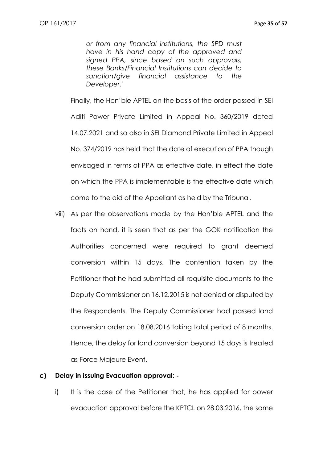*or from any financial institutions, the SPD must have in his hand copy of the approved and signed PPA, since based on such approvals, these Banks/Financial Institutions can decide to sanction/give financial assistance to the Developer.'*

Finally, the Hon'ble APTEL on the basis of the order passed in SEI Aditi Power Private Limited in Appeal No. 360/2019 dated 14.07.2021 and so also in SEI Diamond Private Limited in Appeal No. 374/2019 has held that the date of execution of PPA though envisaged in terms of PPA as effective date, in effect the date on which the PPA is implementable is the effective date which come to the aid of the Appellant as held by the Tribunal.

viii) As per the observations made by the Hon'ble APTEL and the facts on hand, it is seen that as per the GOK notification the Authorities concerned were required to grant deemed conversion within 15 days. The contention taken by the Petitioner that he had submitted all requisite documents to the Deputy Commissioner on 16.12.2015 is not denied or disputed by the Respondents. The Deputy Commissioner had passed land conversion order on 18.08.2016 taking total period of 8 months. Hence, the delay for land conversion beyond 15 days is treated as Force Majeure Event.

#### **c) Delay in issuing Evacuation approval: -**

i) It is the case of the Petitioner that, he has applied for power evacuation approval before the KPTCL on 28.03.2016, the same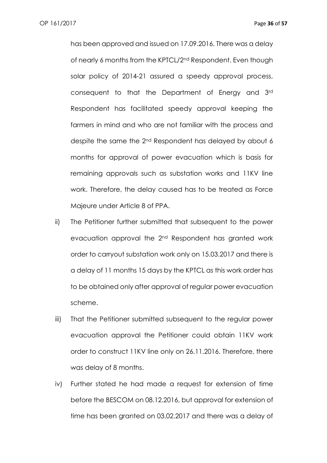has been approved and issued on 17.09.2016. There was a delay of nearly 6 months from the KPTCL/2nd Respondent. Even though solar policy of 2014-21 assured a speedy approval process, consequent to that the Department of Energy and 3rd Respondent has facilitated speedy approval keeping the farmers in mind and who are not familiar with the process and despite the same the 2nd Respondent has delayed by about 6 months for approval of power evacuation which is basis for remaining approvals such as substation works and 11KV line work. Therefore, the delay caused has to be treated as Force Majeure under Article 8 of PPA.

- ii) The Petitioner further submitted that subsequent to the power evacuation approval the 2nd Respondent has granted work order to carryout substation work only on 15.03.2017 and there is a delay of 11 months 15 days by the KPTCL as this work order has to be obtained only after approval of regular power evacuation scheme.
- iii) That the Petitioner submitted subsequent to the regular power evacuation approval the Petitioner could obtain 11KV work order to construct 11KV line only on 26.11.2016. Therefore, there was delay of 8 months.
- iv) Further stated he had made a request for extension of time before the BESCOM on 08.12.2016, but approval for extension of time has been granted on 03.02.2017 and there was a delay of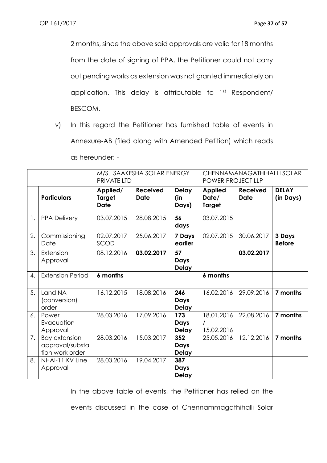2 months, since the above said approvals are valid for 18 months from the date of signing of PPA, the Petitioner could not carry out pending works as extension was not granted immediately on application. This delay is attributable to 1st Respondent/ BESCOM.

v) In this regard the Petitioner has furnished table of events in Annexure-AB (filed along with Amended Petition) which reads as hereunder: -

|    |                                                            | PRIVATE LTD                              | M/S. SAAKESHA SOLAR ENERGY     |                                    | POWER PROJECT LLP                        | CHENNAMANAGATHIHALLI SOLAR     |                           |
|----|------------------------------------------------------------|------------------------------------------|--------------------------------|------------------------------------|------------------------------------------|--------------------------------|---------------------------|
|    | <b>Particulars</b>                                         | Applied/<br><b>Target</b><br><b>Date</b> | <b>Received</b><br><b>Date</b> | <b>Delay</b><br>(in<br>Days)       | <b>Applied</b><br>Date/<br><b>Target</b> | <b>Received</b><br><b>Date</b> | <b>DELAY</b><br>(in Days) |
| 1. | <b>PPA Delivery</b>                                        | 03.07.2015                               | 28.08.2015                     | 56<br>days                         | 03.07.2015                               |                                |                           |
| 2. | Commissioning<br>Date                                      | 02.07.2017<br>SCOD                       | 25.06.2017                     | 7 Days<br>earlier                  | 02.07.2015                               | 30.06.2017                     | 3 Days<br><b>Before</b>   |
| 3. | Extension<br>Approval                                      | 08.12.2016                               | 03.02.2017                     | 57<br><b>Days</b><br><b>Delay</b>  |                                          | 03.02.2017                     |                           |
| 4. | <b>Extension Period</b>                                    | 6 months                                 |                                |                                    | 6 months                                 |                                |                           |
| 5. | Land NA<br>(conversion)<br>order                           | 16.12.2015                               | 18.08.2016                     | 246<br><b>Days</b><br><b>Delay</b> | 16.02.2016                               | 29.09.2016                     | 7 months                  |
| 6. | Power<br>Evacuation<br>Approval                            | 28.03.2016                               | 17.09.2016                     | 173<br><b>Days</b><br><b>Delay</b> | 18.01.2016<br>15.02.2016                 | 22.08.2016                     | 7 months                  |
| 7. | <b>Bay extension</b><br>approval/substa<br>tion work order | 28.03.2016                               | 15.03.2017                     | 352<br>Days<br><b>Delay</b>        | 25.05.2016                               | 12.12.2016                     | 7 months                  |
| 8. | NHAI-11 KV Line<br>Approval                                | 28.03.2016                               | 19.04.2017                     | 387<br>Days<br><b>Delay</b>        |                                          |                                |                           |

In the above table of events, the Petitioner has relied on the

events discussed in the case of Chennammagathihalli Solar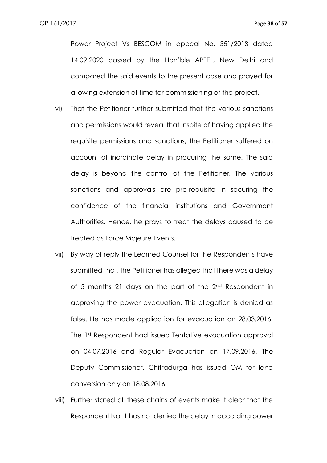Power Project Vs BESCOM in appeal No. 351/2018 dated 14.09.2020 passed by the Hon'ble APTEL, New Delhi and compared the said events to the present case and prayed for allowing extension of time for commissioning of the project.

- vi) That the Petitioner further submitted that the various sanctions and permissions would reveal that inspite of having applied the requisite permissions and sanctions, the Petitioner suffered on account of inordinate delay in procuring the same. The said delay is beyond the control of the Petitioner. The various sanctions and approvals are pre-requisite in securing the confidence of the financial institutions and Government Authorities. Hence, he prays to treat the delays caused to be treated as Force Majeure Events.
- vii) By way of reply the Learned Counsel for the Respondents have submitted that, the Petitioner has alleged that there was a delay of 5 months 21 days on the part of the 2<sup>nd</sup> Respondent in approving the power evacuation. This allegation is denied as false. He has made application for evacuation on 28.03.2016. The 1st Respondent had issued Tentative evacuation approval on 04.07.2016 and Regular Evacuation on 17.09.2016. The Deputy Commissioner, Chitradurga has issued OM for land conversion only on 18.08.2016.
- viii) Further stated all these chains of events make it clear that the Respondent No. 1 has not denied the delay in according power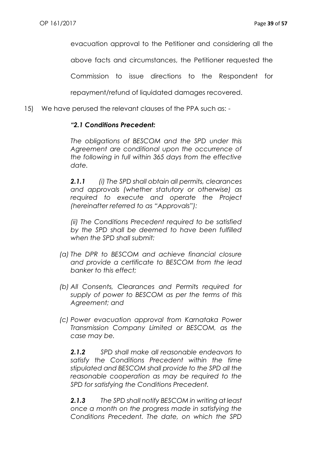evacuation approval to the Petitioner and considering all the

above facts and circumstances, the Petitioner requested the

Commission to issue directions to the Respondent for

repayment/refund of liquidated damages recovered.

15) We have perused the relevant clauses of the PPA such as: -

## *"2.1 Conditions Precedent:*

*The obligations of BESCOM and the SPD under this Agreement are conditional upon the occurrence of the following in full within 365 days from the effective date.*

*2.1.1 (i) The SPD shall obtain all permits, clearances and approvals (whether statutory or otherwise) as required to execute and operate the Project (hereinafter referred to as "Approvals"):*

*(ii) The Conditions Precedent required to be satisfied by the SPD shall be deemed to have been fulfilled when the SPD shall submit:*

- *(a) The DPR to BESCOM and achieve financial closure and provide a certificate to BESCOM from the lead banker to this effect;*
- *(b) All Consents, Clearances and Permits required for supply of power to BESCOM as per the terms of this Agreement; and*
- *(c) Power evacuation approval from Karnataka Power Transmission Company Limited or BESCOM, as the case may be.*

*2.1.2 SPD shall make all reasonable endeavors to satisfy the Conditions Precedent within the time stipulated and BESCOM shall provide to the SPD all the reasonable cooperation as may be required to the SPD for satisfying the Conditions Precedent.*

*2.1.3 The SPD shall notify BESCOM in writing at least once a month on the progress made in satisfying the Conditions Precedent. The date, on which the SPD*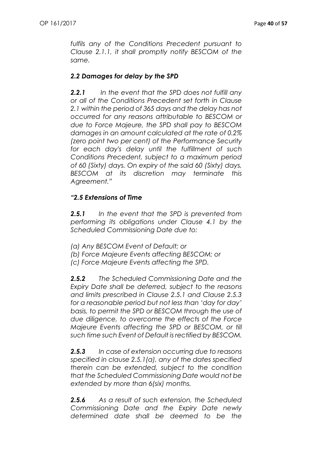*fulfils any of the Conditions Precedent pursuant to Clause 2.1.1, it shall promptly notify BESCOM of the same.*

## *2.2 Damages for delay by the SPD*

*2.2.1 In the event that the SPD does not fulfill any or all of the Conditions Precedent set forth in Clause 2.1 within the period of 365 days and the delay has not occurred for any reasons attributable to BESCOM or due to Force Majeure, the SPD shall pay to BESCOM damages in an amount calculated at the rate of 0.2% (zero point two per cent) of the Performance Security for each day's delay until the fulfillment of such Conditions Precedent, subject to a maximum period of 60 (Sixty) days. On expiry of the said 60 (Sixty) days, BESCOM at its discretion may terminate this Agreement."*

## *"2.5 Extensions of Time*

*2.5.1 In the event that the SPD is prevented from performing its obligations under Clause 4.1 by the Scheduled Commissioning Date due to:*

- *(a) Any BESCOM Event of Default; or*
- *(b) Force Majeure Events affecting BESCOM; or*
- *(c) Force Majeure Events affecting the SPD.*

*2.5.2 The Scheduled Commissioning Date and the Expiry Date shall be deferred, subject to the reasons and limits prescribed in Clause 2.5.1 and Clause 2.5.3 for a reasonable period but not less than 'day for day' basis, to permit the SPD or BESCOM through the use of due diligence, to overcome the effects of the Force Majeure Events affecting the SPD or BESCOM, or till such time such Event of Default is rectified by BESCOM.*

*2.5.3 In case of extension occurring due to reasons specified in clause 2.5.1(a), any of the dates specified therein can be extended, subject to the condition that the Scheduled Commissioning Date would not be extended by more than 6(six) months.*

*2.5.6 As a result of such extension, the Scheduled Commissioning Date and the Expiry Date newly determined date shall be deemed to be the*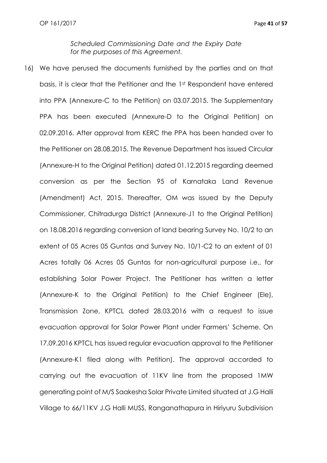*Scheduled Commissioning Date and the Expiry Date for the purposes of this Agreement.*

16) We have perused the documents furnished by the parties and on that basis, it is clear that the Petitioner and the 1st Respondent have entered into PPA (Annexure-C to the Petition) on 03.07.2015. The Supplementary PPA has been executed (Annexure-D to the Original Petition) on 02.09.2016. After approval from KERC the PPA has been handed over to the Petitioner on 28.08.2015. The Revenue Department has issued Circular (Annexure-H to the Original Petition) dated 01.12.2015 regarding deemed conversion as per the Section 95 of Karnataka Land Revenue (Amendment) Act, 2015. Thereafter, OM was issued by the Deputy Commissioner, Chitradurga District (Annexure-J1 to the Original Petition) on 18.08.2016 regarding conversion of land bearing Survey No. 10/2 to an extent of 05 Acres 05 Guntas and Survey No. 10/1-C2 to an extent of 01 Acres totally 06 Acres 05 Guntas for non-agricultural purpose i.e., for establishing Solar Power Project. The Petitioner has written a letter (Annexure-K to the Original Petition) to the Chief Engineer (Ele), Transmission Zone, KPTCL dated 28.03.2016 with a request to issue evacuation approval for Solar Power Plant under Farmers' Scheme. On 17.09.2016 KPTCL has issued regular evacuation approval to the Petitioner (Annexure-K1 filed along with Petition). The approval accorded to carrying out the evacuation of 11KV line from the proposed 1MW generating point of M/S Saakesha Solar Private Limited situated at J.G Halli Village to 66/11KV J.G Halli MUSS, Ranganathapura in Hiriyuru Subdivision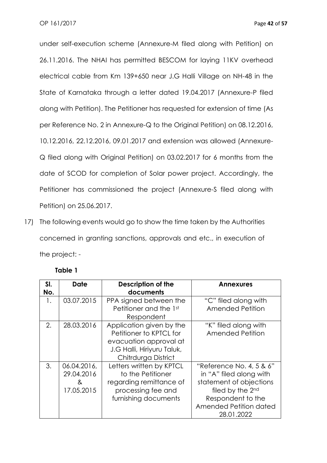under self-execution scheme (Annexure-M filed along with Petition) on 26.11.2016. The NHAI has permitted BESCOM for laying 11KV overhead electrical cable from Km 139+650 near J.G Halli Village on NH-48 in the State of Karnataka through a letter dated 19.04.2017 (Annexure-P filed along with Petition). The Petitioner has requested for extension of time (As per Reference No. 2 in Annexure-Q to the Original Petition) on 08.12.2016, 10.12.2016, 22.12.2016, 09.01.2017 and extension was allowed (Annexure-Q filed along with Original Petition) on 03.02.2017 for 6 months from the date of SCOD for completion of Solar power project. Accordingly, the Petitioner has commissioned the project (Annexure-S filed along with Petition) on 25.06.2017.

17) The following events would go to show the time taken by the Authorities concerned in granting sanctions, approvals and etc., in execution of the project: -

| SI. | <b>Date</b>                                  | <b>Description of the</b>                                                                                              | <b>Annexures</b>                                                                                                                                                |
|-----|----------------------------------------------|------------------------------------------------------------------------------------------------------------------------|-----------------------------------------------------------------------------------------------------------------------------------------------------------------|
| No. |                                              | documents                                                                                                              |                                                                                                                                                                 |
| 1.  | 03.07.2015                                   | PPA signed between the                                                                                                 | "C" filed along with                                                                                                                                            |
|     |                                              | Petitioner and the 1st<br>Respondent                                                                                   | Amended Petition                                                                                                                                                |
| 2.  | 28.03.2016                                   | Application given by the<br>Petitioner to KPTCL for                                                                    | "K" filed along with<br>Amended Petition                                                                                                                        |
|     |                                              | evacuation approval at<br>J.G Halli, Hiriyuru Taluk,<br>Chitrdurga District                                            |                                                                                                                                                                 |
| 3.  | 06.04.2016,<br>29.04.2016<br>&<br>17.05.2015 | Letters written by KPTCL<br>to the Petitioner<br>regarding remittance of<br>processing fee and<br>furnishing documents | "Reference No. 4, 5 & 6"<br>in "A" filed along with<br>statement of objections<br>filed by the 2nd<br>Respondent to the<br>Amended Petition dated<br>28.01.2022 |

## **Table 1**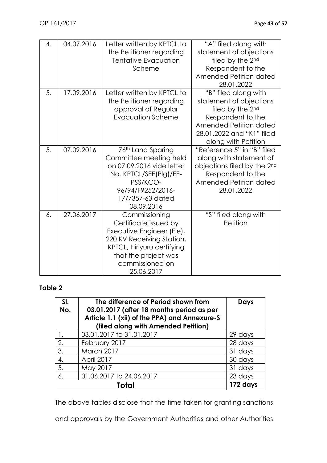| 4. | 04.07.2016 | Letter written by KPTCL to<br>the Petitioner regarding<br><b>Tentative Evacuation</b><br>Scheme                                                                                         | "A" filed along with<br>statement of objections<br>filed by the 2nd<br>Respondent to the<br>Amended Petition dated<br>28.01.2022                                       |
|----|------------|-----------------------------------------------------------------------------------------------------------------------------------------------------------------------------------------|------------------------------------------------------------------------------------------------------------------------------------------------------------------------|
| 5. | 17.09.2016 | Letter written by KPTCL to<br>the Petitioner regarding<br>approval of Regular<br><b>Evacuation Scheme</b>                                                                               | "B" filed along with<br>statement of objections<br>filed by the 2nd<br>Respondent to the<br>Amended Petition dated<br>28.01.2022 and "K1" filed<br>along with Petition |
| 5. | 07.09.2016 | 76th Land Sparing<br>Committee meeting held<br>on 07.09.2016 vide letter<br>No. KPTCL/SEE(Plg)/EE-<br>PSS/KCO-<br>96/94/F9252/2016-<br>17/7357-63 dated<br>08.09.2016                   | "Reference 5" in "B" filed<br>along with statement of<br>objections filed by the 2nd<br>Respondent to the<br>Amended Petition dated<br>28.01.2022                      |
| 6. | 27.06.2017 | Commissioning<br>Certificate issued by<br>Executive Engineer (Ele),<br>220 KV Receiving Station,<br>KPTCL, Hiriyuru certifying<br>that the project was<br>commissioned on<br>25.06.2017 | "S" filed along with<br>Petition                                                                                                                                       |

# **Table 2**

| SI.<br>No. | The difference of Period shown from<br>03.01.2017 (after 18 months period as per<br>Article 1.1 (xii) of the PPA) and Annexure-S<br>(filed along with Amended Petition) | <b>Days</b> |
|------------|-------------------------------------------------------------------------------------------------------------------------------------------------------------------------|-------------|
|            | 03.01.2017 to 31.01.2017                                                                                                                                                | 29 days     |
| 2.         | February 2017                                                                                                                                                           | 28 days     |
| 3.         | March 2017                                                                                                                                                              | 31 days     |
| 4.         | April 2017                                                                                                                                                              | 30 days     |
| 5.         | May 2017                                                                                                                                                                | 31 days     |
| 6.         | 01.06.2017 to 24.06.2017                                                                                                                                                | 23 days     |
|            |                                                                                                                                                                         | 172 days    |

The above tables disclose that the time taken for granting sanctions

and approvals by the Government Authorities and other Authorities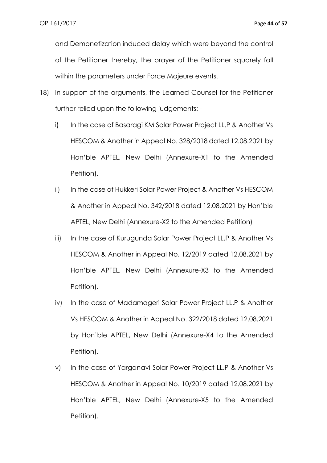and Demonetization induced delay which were beyond the control of the Petitioner thereby, the prayer of the Petitioner squarely fall within the parameters under Force Majeure events.

- 18) In support of the arguments, the Learned Counsel for the Petitioner further relied upon the following judgements:
	- i) In the case of Basaragi KM Solar Power Project LL.P & Another Vs HESCOM & Another in Appeal No. 328/2018 dated 12.08.2021 by Hon'ble APTEL, New Delhi (Annexure-X1 to the Amended Petition)**.**
	- ii) In the case of Hukkeri Solar Power Project & Another Vs HESCOM & Another in Appeal No. 342/2018 dated 12.08.2021 by Hon'ble APTEL, New Delhi (Annexure-X2 to the Amended Petition)
	- iii) In the case of Kurugunda Solar Power Project LL.P & Another Vs HESCOM & Another in Appeal No. 12/2019 dated 12.08.2021 by Hon'ble APTEL, New Delhi (Annexure-X3 to the Amended Petition).
	- iv) In the case of Madamageri Solar Power Project LL.P & Another Vs HESCOM & Another in Appeal No. 322/2018 dated 12.08.2021 by Hon'ble APTEL, New Delhi (Annexure-X4 to the Amended Petition).
	- v) In the case of Yarganavi Solar Power Project LL.P & Another Vs HESCOM & Another in Appeal No. 10/2019 dated 12.08.2021 by Hon'ble APTEL, New Delhi (Annexure-X5 to the Amended Petition).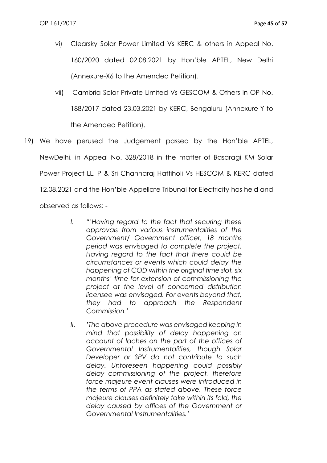- vi) Clearsky Solar Power Limited Vs KERC & others in Appeal No. 160/2020 dated 02.08.2021 by Hon'ble APTEL, New Delhi (Annexure-X6 to the Amended Petition).
- vii) Cambria Solar Private Limited Vs GESCOM & Others in OP No. 188/2017 dated 23.03.2021 by KERC, Bengaluru (Annexure-Y to the Amended Petition).
- 19) We have perused the Judgement passed by the Hon'ble APTEL, NewDelhi, in Appeal No. 328/2018 in the matter of Basaragi KM Solar Power Project LL. P & Sri Channaraj Hattiholi Vs HESCOM & KERC dated 12.08.2021 and the Hon'ble Appellate Tribunal for Electricity has held and observed as follows: -
	- *I. "'Having regard to the fact that securing these approvals from various instrumentalities of the Government/ Government officer, 18 months period was envisaged to complete the project. Having regard to the fact that there could be circumstances or events which could delay the happening of COD within the original time slot, six months' time for extension of commissioning the project at the level of concerned distribution licensee was envisaged. For events beyond that, they had to approach the Respondent Commission.'*
	- *II. 'The above procedure was envisaged keeping in mind that possibility of delay happening on account of laches on the part of the offices of Governmental Instrumentalities, though Solar Developer or SPV do not contribute to such delay. Unforeseen happening could possibly delay commissioning of the project, therefore force majeure event clauses were introduced in the terms of PPA as stated above. These force majeure clauses definitely take within its fold, the delay caused by offices of the Government or Governmental Instrumentalities.'*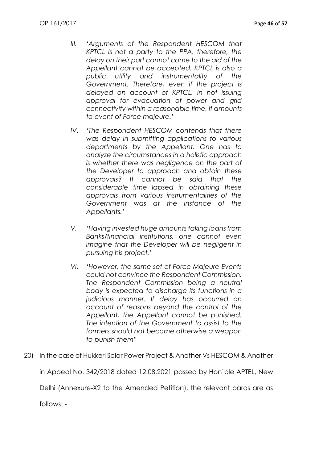- *III. 'Arguments of the Respondent HESCOM that KPTCL is not a party to the PPA, therefore, the delay on their part cannot come to the aid of the Appellant cannot be accepted. KPTCL is also a public utility and instrumentality of the Government. Therefore, even if the project is delayed on account of KPTCL, in not issuing approval for evacuation of power and grid connectivity within a reasonable time, it amounts to event of Force majeure.'*
- *IV. 'The Respondent HESCOM contends that there was delay in submitting applications to various departments by the Appellant. One has to analyze the circumstances in a holistic approach is whether there was negligence on the part of the Developer to approach and obtain these approvals? It cannot be said that the considerable time lapsed in obtaining these approvals from various instrumentalities of the Government was at the instance of the Appellants.'*
- *V. 'Having invested huge amounts taking loans from Banks/financial institutions, one cannot even imagine that the Developer will be negligent in pursuing his project.'*
- *VI. 'However, the same set of Force Majeure Events could not convince the Respondent Commission. The Respondent Commission being a neutral body is expected to discharge its functions in a judicious manner. If delay has occurred on account of reasons beyond the control of the Appellant, the Appellant cannot be punished. The intention of the Government to assist to the farmers should not become otherwise a weapon to punish them"*
- 20) In the case of Hukkeri Solar Power Project & Another Vs HESCOM & Another in Appeal No. 342/2018 dated 12.08.2021 passed by Hon'ble APTEL, New Delhi (Annexure-X2 to the Amended Petition), the relevant paras are as

follows: -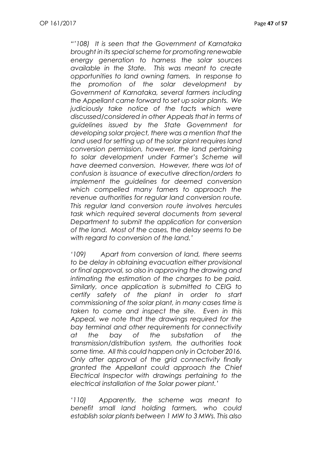*"'108) It is seen that the Government of Karnataka brought in its special scheme for promoting renewable energy generation to harness the solar sources available in the State. This was meant to create opportunities to land owning famers. In response to the promotion of the solar development by Government of Karnataka, several farmers including the Appellant came forward to set up solar plants. We judiciously take notice of the facts which were discussed/considered in other Appeals that in terms of guidelines issued by the State Government for developing solar project, there was a mention that the land used for setting up of the solar plant requires land conversion permission, however, the land pertaining to solar development under Farmer's Scheme will have deemed conversion. However, there was lot of confusion is issuance of executive direction/orders to implement the guidelines for deemed conversion which compelled many famers to approach the revenue authorities for regular land conversion route. This regular land conversion route involves hercules task which required several documents from several Department to submit the application for conversion of the land. Most of the cases, the delay seems to be with regard to conversion of the land.'*

*'109) Apart from conversion of land, there seems to be delay in obtaining evacuation either provisional or final approval, so also in approving the drawing and intimating the estimation of the charges to be paid. Similarly, once application is submitted to CEIG to certify safety of the plant in order to start commissioning of the solar plant, in many cases time is taken to come and inspect the site. Even in this Appeal, we note that the drawings required for the bay terminal and other requirements for connectivity at the bay of the substation of the transmission/distribution system, the authorities took some time. All this could happen only in October 2016. Only after approval of the grid connectivity finally granted the Appellant could approach the Chief Electrical Inspector with drawings pertaining to the electrical installation of the Solar power plant.'*

*'110) Apparently, the scheme was meant to benefit small land holding farmers, who could establish solar plants between 1 MW to 3 MWs. This also*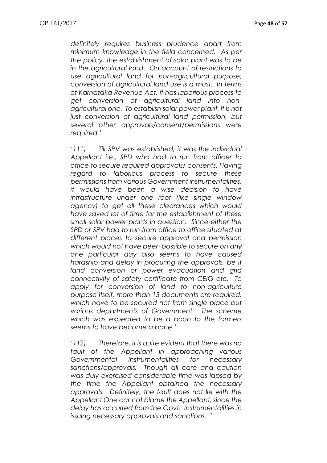*definitely requires business prudence apart from minimum knowledge in the field concerned. As per the policy, the establishment of solar plant was to be in the agricultural land. On account of restrictions to use agricultural land for non-agricultural purpose, conversion of agricultural land use is a must. In terms of Karnataka Revenue Act, it has laborious process to get conversion of agricultural land into nonagricultural one. To establish solar power plant, it is not just conversion of agricultural land permission, but several other approvals/consent/permissions were required.'*

*'111) Till SPV was established, it was the individual Appellant i.e., SPD who had to run from officer to office to secure required approvals/ consents. Having regard to laborious process to secure these permissions from various Government instrumentalities, it would have been a wise decision to have infrastructure under one roof (like single window agency) to get all these clearances which would have saved lot of time for the establishment of these small solar power plants in question. Since either the SPD or SPV had to run from office to office situated at different places to secure approval and permission which would not have been possible to secure on any one particular day also seems to have caused hardship and delay in procuring the approvals, be it land conversion or power evacuation and grid connectivity of safety certificate from CEIG etc. To apply for conversion of land to non-agriculture purpose itself, more than 13 documents are required, which have to be secured not from single place but various departments of Government. The scheme which was expected to be a boon to the farmers seems to have become a bane.'*

*'112) Therefore, it is quite evident that there was no fault of the Appellant in approaching various Governmental Instrumentalities for necessary sanctions/approvals. Though all care and caution was duly exercised considerable time was lapsed by the time the Appellant obtained the necessary approvals. Definitely, the fault does not lie with the Appellant One cannot blame the Appellant, since the delay has occurred from the Govt. Instrumentalities in issuing necessary approvals and sanctions.'"*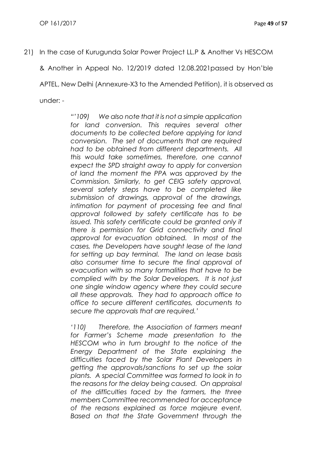21) In the case of Kurugunda Solar Power Project LL.P & Another Vs HESCOM

& Another in Appeal No. 12/2019 dated 12.08.2021passed by Hon'ble

APTEL, New Delhi (Annexure-X3 to the Amended Petition), it is observed as

under: -

*"'109) We also note that it is not a simple application*  for land conversion. This requires several other *documents to be collected before applying for land conversion. The set of documents that are required had to be obtained from different departments. All this would take sometimes, therefore, one cannot expect the SPD straight away to apply for conversion of land the moment the PPA was approved by the Commission. Similarly, to get CEIG safety approval, several safety steps have to be completed like submission of drawings, approval of the drawings, intimation for payment of processing fee and final approval followed by safety certificate has to be issued. This safety certificate could be granted only if there is permission for Grid connectivity and final approval for evacuation obtained. In most of the cases, the Developers have sought lease of the land for setting up bay terminal. The land on lease basis also consumer time to secure the final approval of evacuation with so many formalities that have to be complied with by the Solar Developers. It is not just one single window agency where they could secure all these approvals. They had to approach office to office to secure different certificates, documents to secure the approvals that are required.'*

*'110) Therefore, the Association of farmers meant for Farmer's Scheme made presentation to the HESCOM who in turn brought to the notice of the Energy Department of the State explaining the difficulties faced by the Solar Plant Developers in getting the approvals/sanctions to set up the solar plants. A special Committee was formed to look in to the reasons for the delay being caused. On appraisal of the difficulties faced by the farmers, the three members Committee recommended for acceptance of the reasons explained as force majeure event. Based on that the State Government through the*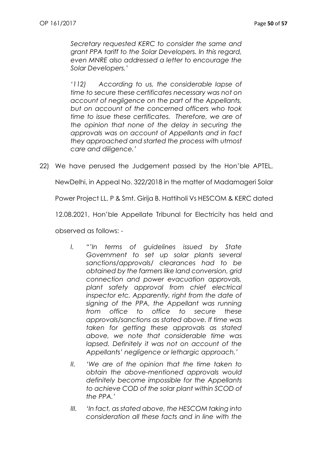*Secretary requested KERC to consider the same and grant PPA tariff to the Solar Developers. In this regard, even MNRE also addressed a letter to encourage the Solar Developers.'*

*'112) According to us, the considerable lapse of time to secure these certificates necessary was not on account of negligence on the part of the Appellants, but on account of the concerned officers who took time to issue these certificates. Therefore, we are of the opinion that none of the delay in securing the approvals was on account of Appellants and in fact they approached and started the process with utmost care and diligence.'*

22) We have perused the Judgement passed by the Hon'ble APTEL,

NewDelhi, in Appeal No. 322/2018 in the matter of Madamageri Solar

Power Project LL. P & Smt. Girija B. Hattiholi Vs HESCOM & KERC dated

12.08.2021, Hon'ble Appellate Tribunal for Electricity has held and

observed as follows: -

- *I. "'In terms of guidelines issued by State Government to set up solar plants several sanctions/approvals/ clearances had to be obtained by the farmers like land conversion, grid connection and power evacuation approvals, plant safety approval from chief electrical inspector etc. Apparently, right from the date of signing of the PPA, the Appellant was running from office to office to secure these approvals/sanctions as stated above. If time was taken for getting these approvals as stated above, we note that considerable time was lapsed. Definitely it was not on account of the Appellants' negligence or lethargic approach.'*
- *II. 'We are of the opinion that the time taken to obtain the above-mentioned approvals would definitely become impossible for the Appellants to achieve COD of the solar plant within SCOD of the PPA.'*
- *III. 'In fact, as stated above, the HESCOM taking into consideration all these facts and in line with the*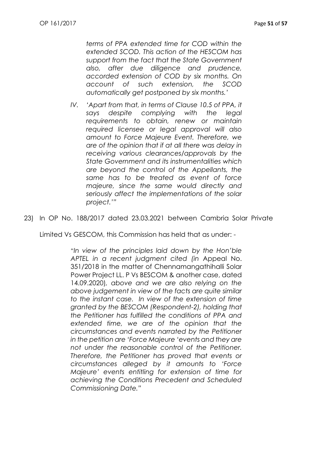*terms of PPA extended time for COD within the extended SCOD. This action of the HESCOM has support from the fact that the State Government also, after due diligence and prudence, accorded extension of COD by six months. On account of such extension, the SCOD automatically get postponed by six months.'*

*IV. 'Apart from that, in terms of Clause 10.5 of PPA, it says despite complying with the legal requirements to obtain, renew or maintain required licensee or legal approval will also amount to Force Majeure Event. Therefore, we are of the opinion that if at all there was delay in receiving various clearances/approvals by the State Government and its instrumentalities which are beyond the control of the Appellants, the same has to be treated as event of force majeure, since the same would directly and seriously affect the implementations of the solar project.'"*

23) In OP No. 188/2017 dated 23.03.2021 between Cambria Solar Private

Limited Vs GESCOM, this Commission has held that as under: -

*"In view of the principles laid down by the Hon'ble APTEL in a recent judgment cited (in* Appeal No. 351/2018 in the matter of Chennamangathihalli Solar Power Project LL. P Vs BESCOM & another case, dated 14.09.2020)*, above and we are also relying on the above judgement in view of the facts are quite similar to the instant case. In view of the extension of time granted by the BESCOM (Respondent-2), holding that the Petitioner has fulfilled the conditions of PPA and extended time, we are of the opinion that the circumstances and events narrated by the Petitioner in the petition are 'Force Majeure 'events and they are not under the reasonable control of the Petitioner. Therefore, the Petitioner has proved that events or circumstances alleged by it amounts to 'Force Majeure' events entitling for extension of time for achieving the Conditions Precedent and Scheduled Commissioning Date."*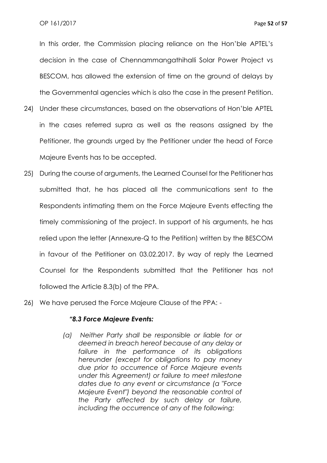In this order, the Commission placing reliance on the Hon'ble APTEL's decision in the case of Chennammangathihalli Solar Power Project vs BESCOM, has allowed the extension of time on the ground of delays by the Governmental agencies which is also the case in the present Petition.

- 24) Under these circumstances, based on the observations of Hon'ble APTEL in the cases referred supra as well as the reasons assigned by the Petitioner, the grounds urged by the Petitioner under the head of Force Majeure Events has to be accepted.
- 25) During the course of arguments, the Learned Counsel for the Petitioner has submitted that, he has placed all the communications sent to the Respondents intimating them on the Force Majeure Events effecting the timely commissioning of the project. In support of his arguments, he has relied upon the letter (Annexure-Q to the Petition) written by the BESCOM in favour of the Petitioner on 03.02.2017. By way of reply the Learned Counsel for the Respondents submitted that the Petitioner has not followed the Article 8.3(b) of the PPA.
- 26) We have perused the Force Majeure Clause of the PPA: -

#### *"8.3 Force Majeure Events:*

*(a) Neither Party shall be responsible or liable for or deemed in breach hereof because of any delay or failure in the performance of its obligations hereunder (except for obligations to pay money due prior to occurrence of Force Majeure events under this Agreement) or failure to meet milestone dates due to any event or circumstance (a "Force Majeure Event") beyond the reasonable control of the Party affected by such delay or failure, including the occurrence of any of the following:*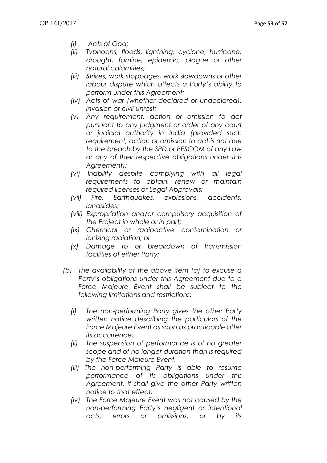- *(i) Acts of God;*
- *(ii) Typhoons, floods, lightning, cyclone, hurricane, drought, famine, epidemic, plague or other natural calamities;*
- *(iii) Strikes, work stoppages, work slowdowns or other labour dispute which affects a Party's ability to perform under this Agreement;*
- *(iv) Acts of war (whether declared or undeclared), invasion or civil unrest;*
- *(v) Any requirement, action or omission to act pursuant to any judgment or order of any court or judicial authority in India (provided such requirement, action or omission to act is not due to the breach by the SPD or BESCOM of any Law or any of their respective obligations under this Agreement);*
- *(vi) Inability despite complying with all legal requirements to obtain, renew or maintain required licenses or Legal Approvals;*
- *(vii) Fire, Earthquakes, explosions, accidents, landslides;*
- *(viii) Expropriation and/or compulsory acquisition of the Project in whole or in part;*
- *(ix) Chemical or radioactive contamination or ionizing radiation; or*
- *(x) Damage to or breakdown of transmission facilities of either Party;*
- *(b) The availability of the above item (a) to excuse a Party's obligations under this Agreement due to a Force Majeure Event shall be subject to the following limitations and restrictions:*
	- *(i) The non-performing Party gives the other Party written notice describing the particulars of the Force Majeure Event as soon as practicable after its occurrence;*
	- *(ii) The suspension of performance is of no greater scope and of no longer duration than is required by the Force Majeure Event.*
	- *(iii) The non-performing Party is able to resume performance of its obligations under this Agreement, it shall give the other Party written notice to that effect;*
	- *(iv) The Force Majeure Event was not caused by the non-performing Party's negligent or intentional acts, errors or omissions, or by its*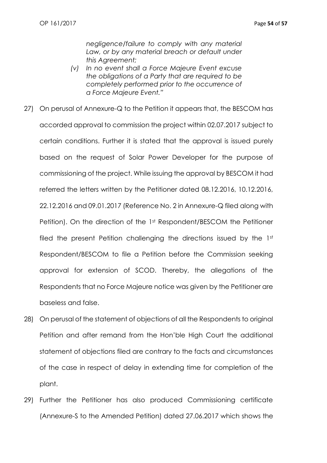*negligence/failure to comply with any material*  Law, or by any material breach or default under *this Agreement;*

- *(v) In no event shall a Force Majeure Event excuse the obligations of a Party that are required to be completely performed prior to the occurrence of a Force Majeure Event."*
- 27) On perusal of Annexure-Q to the Petition it appears that, the BESCOM has accorded approval to commission the project within 02.07.2017 subject to certain conditions. Further it is stated that the approval is issued purely based on the request of Solar Power Developer for the purpose of commissioning of the project. While issuing the approval by BESCOM it had referred the letters written by the Petitioner dated 08.12.2016, 10.12.2016, 22.12.2016 and 09.01.2017 (Reference No. 2 in Annexure-Q filed along with Petition). On the direction of the 1st Respondent/BESCOM the Petitioner filed the present Petition challenging the directions issued by the 1st Respondent/BESCOM to file a Petition before the Commission seeking approval for extension of SCOD. Thereby, the allegations of the Respondents that no Force Majeure notice was given by the Petitioner are baseless and false.
- 28) On perusal of the statement of objections of all the Respondents to original Petition and after remand from the Hon'ble High Court the additional statement of objections filed are contrary to the facts and circumstances of the case in respect of delay in extending time for completion of the plant.
- 29) Further the Petitioner has also produced Commissioning certificate (Annexure-S to the Amended Petition) dated 27.06.2017 which shows the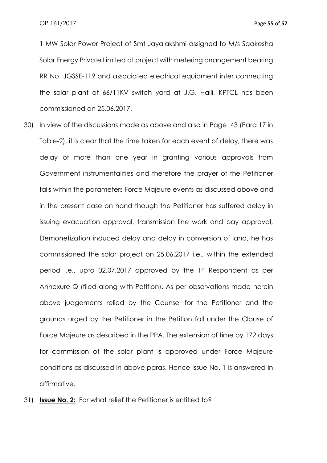1 MW Solar Power Project of Smt Jayalakshmi assigned to M/s Saakesha Solar Energy Private Limited at project with metering arrangement bearing RR No. JGSSE-119 and associated electrical equipment inter connecting the solar plant at 66/11KV switch yard at J.G. Halli, KPTCL has been commissioned on 25.06.2017.

- 30) In view of the discussions made as above and also in Page 43 (Para 17 in Table-2), it is clear that the time taken for each event of delay, there was delay of more than one year in granting various approvals from Government instrumentalities and therefore the prayer of the Petitioner falls within the parameters Force Majeure events as discussed above and in the present case on hand though the Petitioner has suffered delay in issuing evacuation approval, transmission line work and bay approval, Demonetization induced delay and delay in conversion of land, he has commissioned the solar project on 25.06.2017 i.e., within the extended period i.e., upto 02.07.2017 approved by the 1st Respondent as per Annexure-Q (filed along with Petition). As per observations made herein above judgements relied by the Counsel for the Petitioner and the grounds urged by the Petitioner in the Petition fall under the Clause of Force Majeure as described in the PPA. The extension of time by 172 days for commission of the solar plant is approved under Force Majeure conditions as discussed in above paras. Hence Issue No. 1 is answered in affirmative.
- 31) **Issue No. 2:** For what relief the Petitioner is entitled to?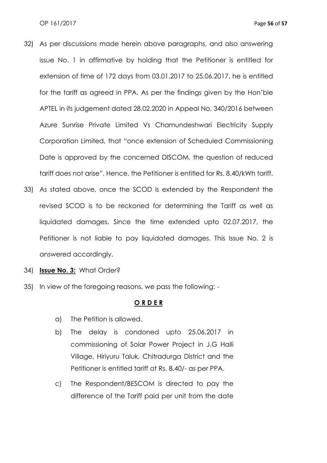- 32) As per discussions made herein above paragraphs, and also answering issue No. 1 in affirmative by holding that the Petitioner is entitled for extension of time of 172 days from 03.01.2017 to 25.06.2017, he is entitled for the tariff as agreed in PPA. As per the findings given by the Hon'ble APTEL in its judgement dated 28.02.2020 in Appeal No. 340/2016 between Azure Sunrise Private Limited Vs Chamundeshwari Electricity Supply Corporation Limited, that "once extension of Scheduled Commissioning Date is approved by the concerned DISCOM, the question of reduced tariff does not arise". Hence, the Petitioner is entitled for Rs. 8.40/kWh tariff.
- 33) As stated above, once the SCOD is extended by the Respondent the revised SCOD is to be reckoned for determining the Tariff as well as liquidated damages. Since the time extended upto 02.07.2017, the Petitioner is not liable to pay liquidated damages. This Issue No. 2 is answered accordingly.
- 34) **Issue No. 3:** What Order?
- 35) In view of the foregoing reasons, we pass the following: -

#### **O R D E R**

- a) The Petition is allowed.
- b) The delay is condoned upto 25.06.2017 in commissioning of Solar Power Project in J.G Halli Village, Hiriyuru Taluk, Chitradurga District and the Petitioner is entitled tariff at Rs. 8.40/- as per PPA.
- c) The Respondent/BESCOM is directed to pay the difference of the Tariff paid per unit from the date